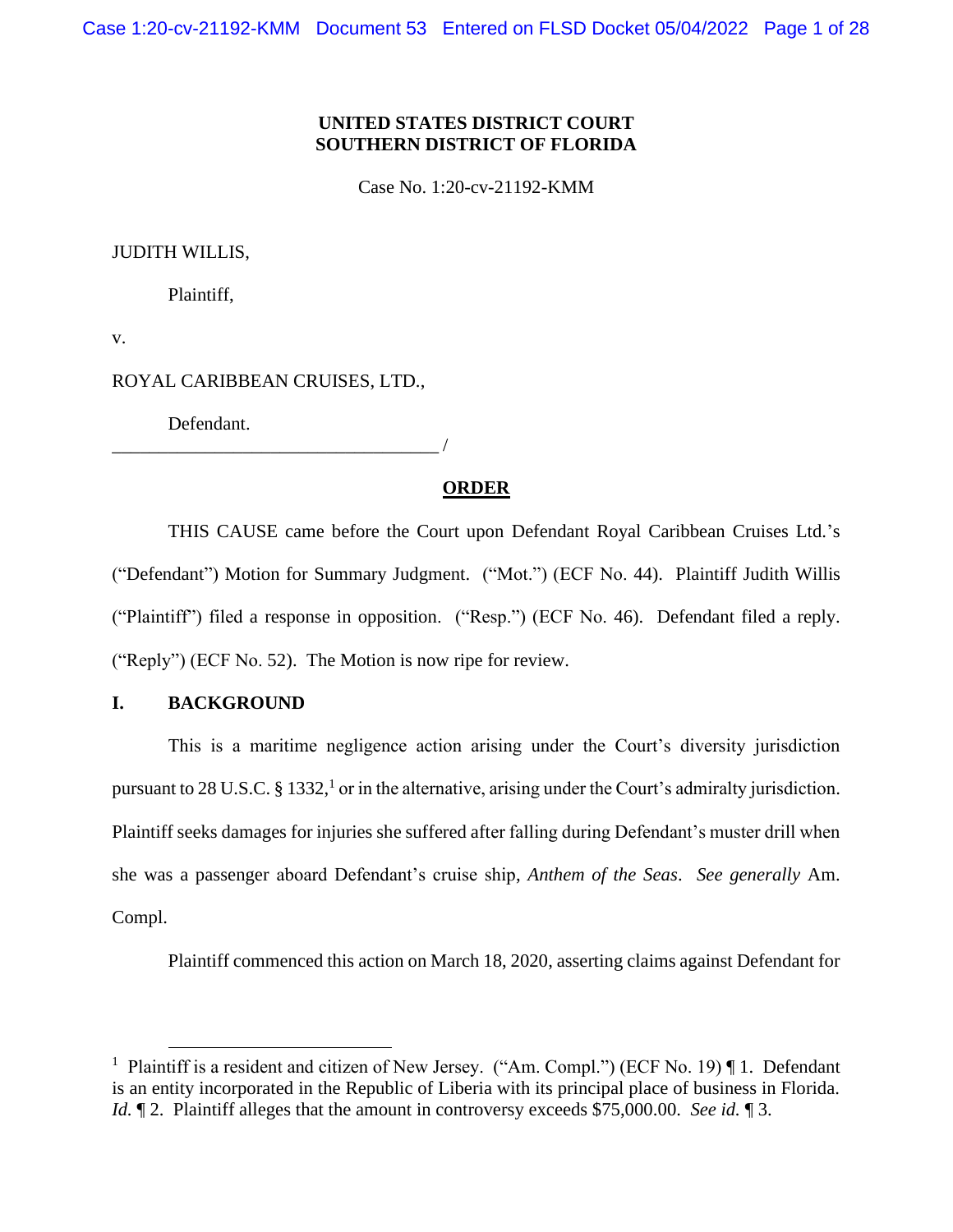## **UNITED STATES DISTRICT COURT SOUTHERN DISTRICT OF FLORIDA**

Case No. 1:20-cv-21192-KMM

### JUDITH WILLIS,

Plaintiff,

v.

### ROYAL CARIBBEAN CRUISES, LTD.,

Defendant.

\_\_\_\_\_\_\_\_\_\_\_\_\_\_\_\_\_\_\_\_\_\_\_\_\_\_\_\_\_\_\_\_\_\_\_ /

## **ORDER**

THIS CAUSE came before the Court upon Defendant Royal Caribbean Cruises Ltd.'s ("Defendant") Motion for Summary Judgment. ("Mot.") (ECF No. 44). Plaintiff Judith Willis ("Plaintiff") filed a response in opposition. ("Resp.") (ECF No. 46). Defendant filed a reply. ("Reply") (ECF No. 52). The Motion is now ripe for review.

## **I. BACKGROUND**

This is a maritime negligence action arising under the Court's diversity jurisdiction pursuant to 28 U.S.C. § 1332,<sup>1</sup> or in the alternative, arising under the Court's admiralty jurisdiction. Plaintiff seeks damages for injuries she suffered after falling during Defendant's muster drill when she was a passenger aboard Defendant's cruise ship, *Anthem of the Seas*. *See generally* Am. Compl.

Plaintiff commenced this action on March 18, 2020, asserting claims against Defendant for

<sup>&</sup>lt;sup>1</sup> Plaintiff is a resident and citizen of New Jersey. ("Am. Compl.") (ECF No. 19) ¶ 1. Defendant is an entity incorporated in the Republic of Liberia with its principal place of business in Florida. *Id.*  $\llbracket 2$ . Plaintiff alleges that the amount in controversy exceeds \$75,000.00. *See id.*  $\llbracket 3$ .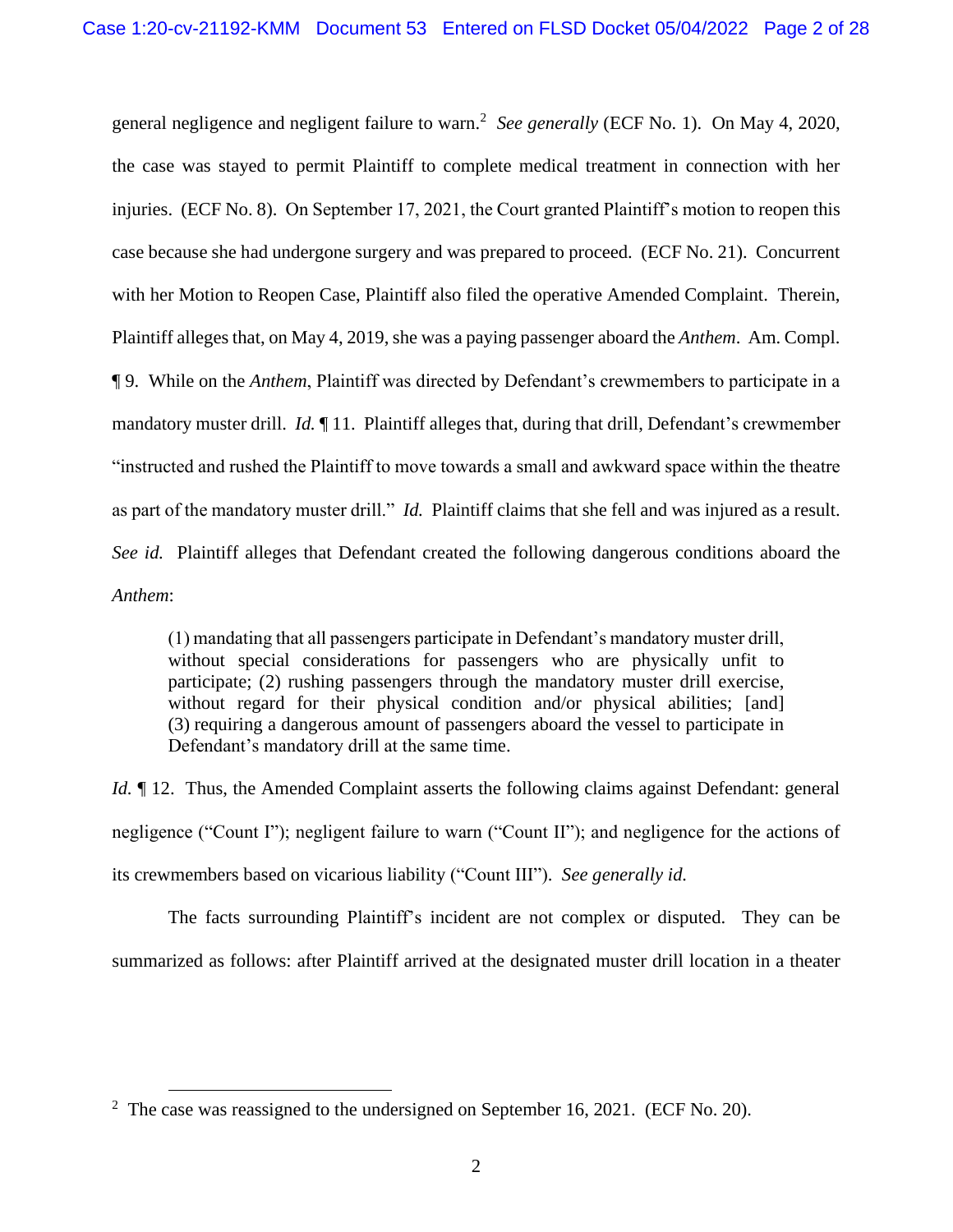general negligence and negligent failure to warn.<sup>2</sup> *See generally* (ECF No. 1). On May 4, 2020, the case was stayed to permit Plaintiff to complete medical treatment in connection with her injuries. (ECF No. 8). On September 17, 2021, the Court granted Plaintiff's motion to reopen this case because she had undergone surgery and was prepared to proceed. (ECF No. 21). Concurrent with her Motion to Reopen Case, Plaintiff also filed the operative Amended Complaint. Therein, Plaintiff alleges that, on May 4, 2019, she was a paying passenger aboard the *Anthem*. Am. Compl. ¶ 9. While on the *Anthem*, Plaintiff was directed by Defendant's crewmembers to participate in a mandatory muster drill. *Id.* ¶ 11. Plaintiff alleges that, during that drill, Defendant's crewmember "instructed and rushed the Plaintiff to move towards a small and awkward space within the theatre as part of the mandatory muster drill." *Id.* Plaintiff claims that she fell and was injured as a result. *See id.* Plaintiff alleges that Defendant created the following dangerous conditions aboard the *Anthem*:

(1) mandating that all passengers participate in Defendant's mandatory muster drill, without special considerations for passengers who are physically unfit to participate; (2) rushing passengers through the mandatory muster drill exercise, without regard for their physical condition and/or physical abilities; [and] (3) requiring a dangerous amount of passengers aboard the vessel to participate in Defendant's mandatory drill at the same time.

*Id.*  $\P$  12. Thus, the Amended Complaint asserts the following claims against Defendant: general negligence ("Count I"); negligent failure to warn ("Count II"); and negligence for the actions of its crewmembers based on vicarious liability ("Count III"). *See generally id.* 

The facts surrounding Plaintiff's incident are not complex or disputed. They can be summarized as follows: after Plaintiff arrived at the designated muster drill location in a theater

<sup>&</sup>lt;sup>2</sup> The case was reassigned to the undersigned on September 16, 2021. (ECF No. 20).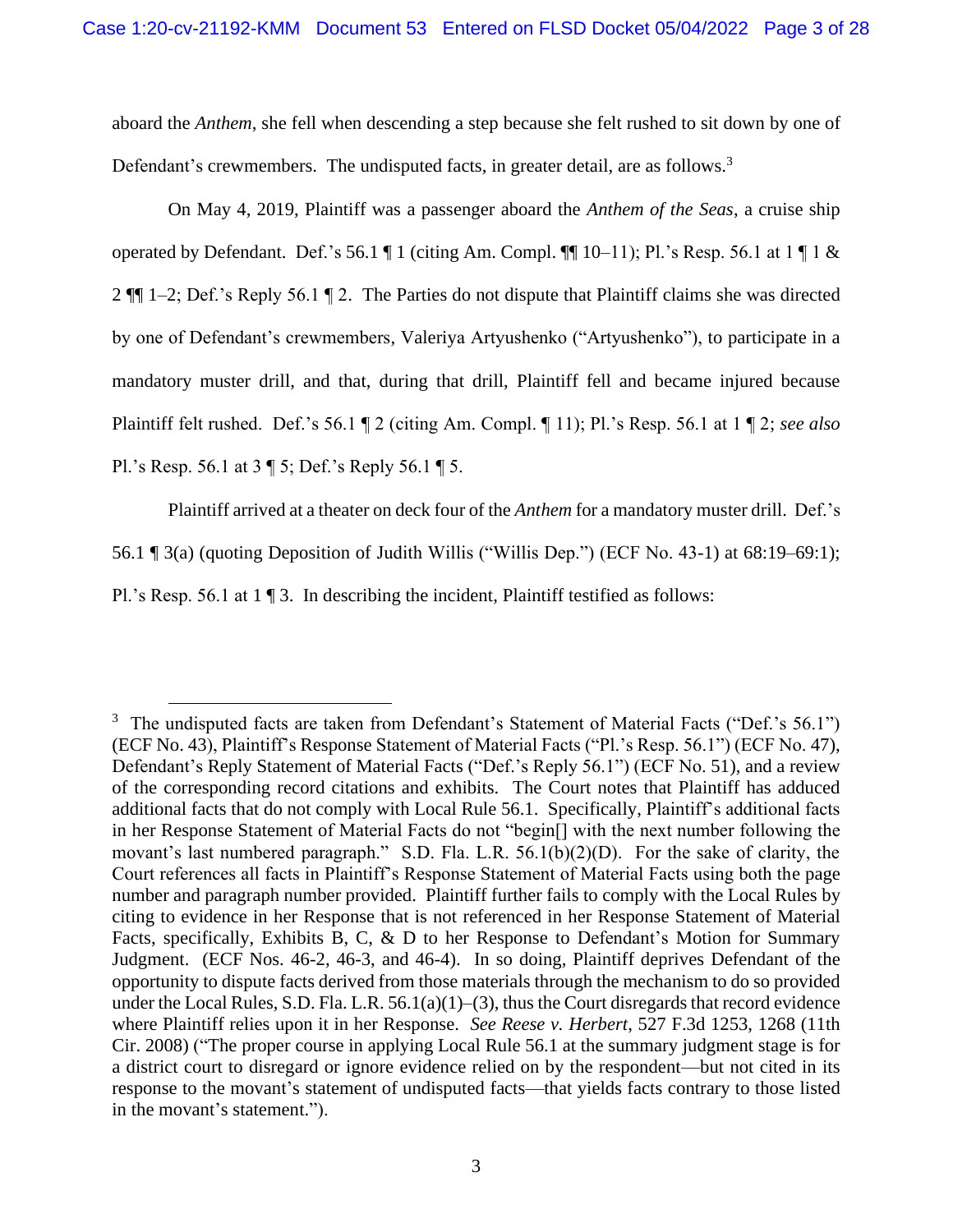aboard the *Anthem*, she fell when descending a step because she felt rushed to sit down by one of Defendant's crewmembers. The undisputed facts, in greater detail, are as follows.<sup>3</sup>

On May 4, 2019, Plaintiff was a passenger aboard the *Anthem of the Seas*, a cruise ship operated by Defendant. Def.'s 56.1  $\P$  1 (citing Am. Compl.  $\P$  $\P$  10–11); Pl.'s Resp. 56.1 at 1  $\P$  1 & 2 ¶¶ 1–2; Def.'s Reply 56.1 ¶ 2. The Parties do not dispute that Plaintiff claims she was directed by one of Defendant's crewmembers, Valeriya Artyushenko ("Artyushenko"), to participate in a mandatory muster drill, and that, during that drill, Plaintiff fell and became injured because Plaintiff felt rushed. Def.'s 56.1 ¶ 2 (citing Am. Compl. ¶ 11); Pl.'s Resp. 56.1 at 1 ¶ 2; *see also* Pl.'s Resp. 56.1 at 3 ¶ 5; Def.'s Reply 56.1 ¶ 5.

Plaintiff arrived at a theater on deck four of the *Anthem* for a mandatory muster drill. Def.'s

56.1 ¶ 3(a) (quoting Deposition of Judith Willis ("Willis Dep.") (ECF No. 43-1) at 68:19–69:1);

Pl.'s Resp. 56.1 at  $1 \nparallel 3$ . In describing the incident, Plaintiff testified as follows:

<sup>&</sup>lt;sup>3</sup> The undisputed facts are taken from Defendant's Statement of Material Facts ("Def.'s 56.1") (ECF No. 43), Plaintiff's Response Statement of Material Facts ("Pl.'s Resp. 56.1") (ECF No. 47), Defendant's Reply Statement of Material Facts ("Def.'s Reply 56.1") (ECF No. 51), and a review of the corresponding record citations and exhibits. The Court notes that Plaintiff has adduced additional facts that do not comply with Local Rule 56.1. Specifically, Plaintiff's additional facts in her Response Statement of Material Facts do not "begin[] with the next number following the movant's last numbered paragraph." S.D. Fla. L.R. 56.1(b)(2)(D). For the sake of clarity, the Court references all facts in Plaintiff's Response Statement of Material Facts using both the page number and paragraph number provided. Plaintiff further fails to comply with the Local Rules by citing to evidence in her Response that is not referenced in her Response Statement of Material Facts, specifically, Exhibits B, C, & D to her Response to Defendant's Motion for Summary Judgment. (ECF Nos. 46-2, 46-3, and 46-4). In so doing, Plaintiff deprives Defendant of the opportunity to dispute facts derived from those materials through the mechanism to do so provided under the Local Rules, S.D. Fla. L.R. 56.1(a)(1)–(3), thus the Court disregards that record evidence where Plaintiff relies upon it in her Response. *See Reese v. Herbert*, 527 F.3d 1253, 1268 (11th Cir. 2008) ("The proper course in applying Local Rule 56.1 at the summary judgment stage is for a district court to disregard or ignore evidence relied on by the respondent—but not cited in its response to the movant's statement of undisputed facts—that yields facts contrary to those listed in the movant's statement.").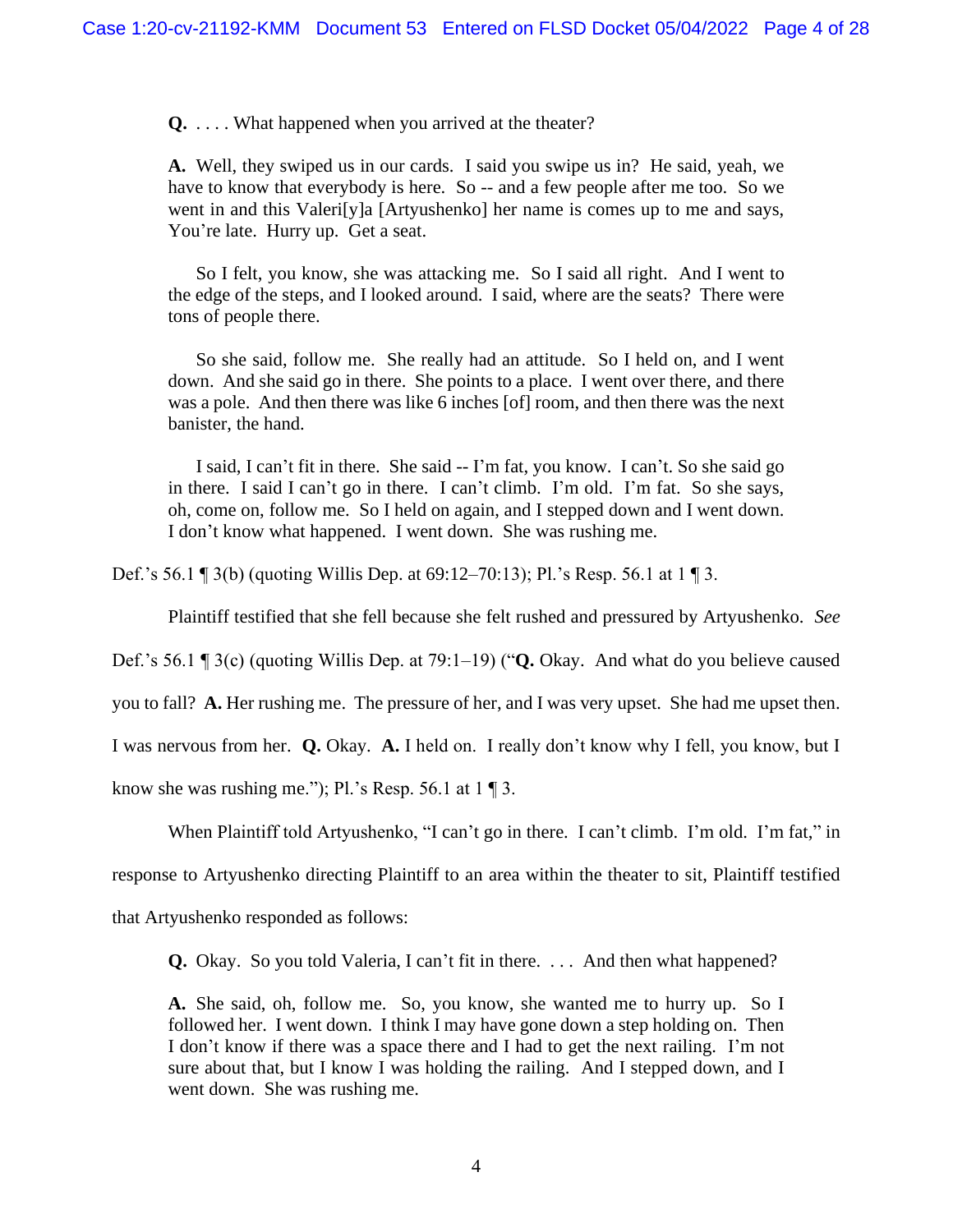**Q.** . . . . What happened when you arrived at the theater?

**A.** Well, they swiped us in our cards. I said you swipe us in? He said, yeah, we have to know that everybody is here. So -- and a few people after me too. So we went in and this Valeri[y]a [Artyushenko] her name is comes up to me and says, You're late. Hurry up. Get a seat.

So I felt, you know, she was attacking me. So I said all right. And I went to the edge of the steps, and I looked around. I said, where are the seats? There were tons of people there.

So she said, follow me. She really had an attitude. So I held on, and I went down. And she said go in there. She points to a place. I went over there, and there was a pole. And then there was like 6 inches [of] room, and then there was the next banister, the hand.

I said, I can't fit in there. She said -- I'm fat, you know. I can't. So she said go in there. I said I can't go in there. I can't climb. I'm old. I'm fat. So she says, oh, come on, follow me. So I held on again, and I stepped down and I went down. I don't know what happened. I went down. She was rushing me.

Def.'s 56.1 ¶ 3(b) (quoting Willis Dep. at 69:12–70:13); Pl.'s Resp. 56.1 at 1 ¶ 3.

Plaintiff testified that she fell because she felt rushed and pressured by Artyushenko. *See* 

Def.'s 56.1 ¶ 3(c) (quoting Willis Dep. at 79:1–19) ("**Q.** Okay. And what do you believe caused

you to fall? **A.** Her rushing me. The pressure of her, and I was very upset. She had me upset then.

I was nervous from her. **Q.** Okay. **A.** I held on. I really don't know why I fell, you know, but I

know she was rushing me."); Pl.'s Resp. 56.1 at  $1 \nparallel 3$ .

When Plaintiff told Artyushenko, "I can't go in there. I can't climb. I'm old. I'm fat," in

response to Artyushenko directing Plaintiff to an area within the theater to sit, Plaintiff testified

that Artyushenko responded as follows:

**Q.** Okay. So you told Valeria, I can't fit in there. . . . And then what happened?

**A.** She said, oh, follow me. So, you know, she wanted me to hurry up. So I followed her. I went down. I think I may have gone down a step holding on. Then I don't know if there was a space there and I had to get the next railing. I'm not sure about that, but I know I was holding the railing. And I stepped down, and I went down. She was rushing me.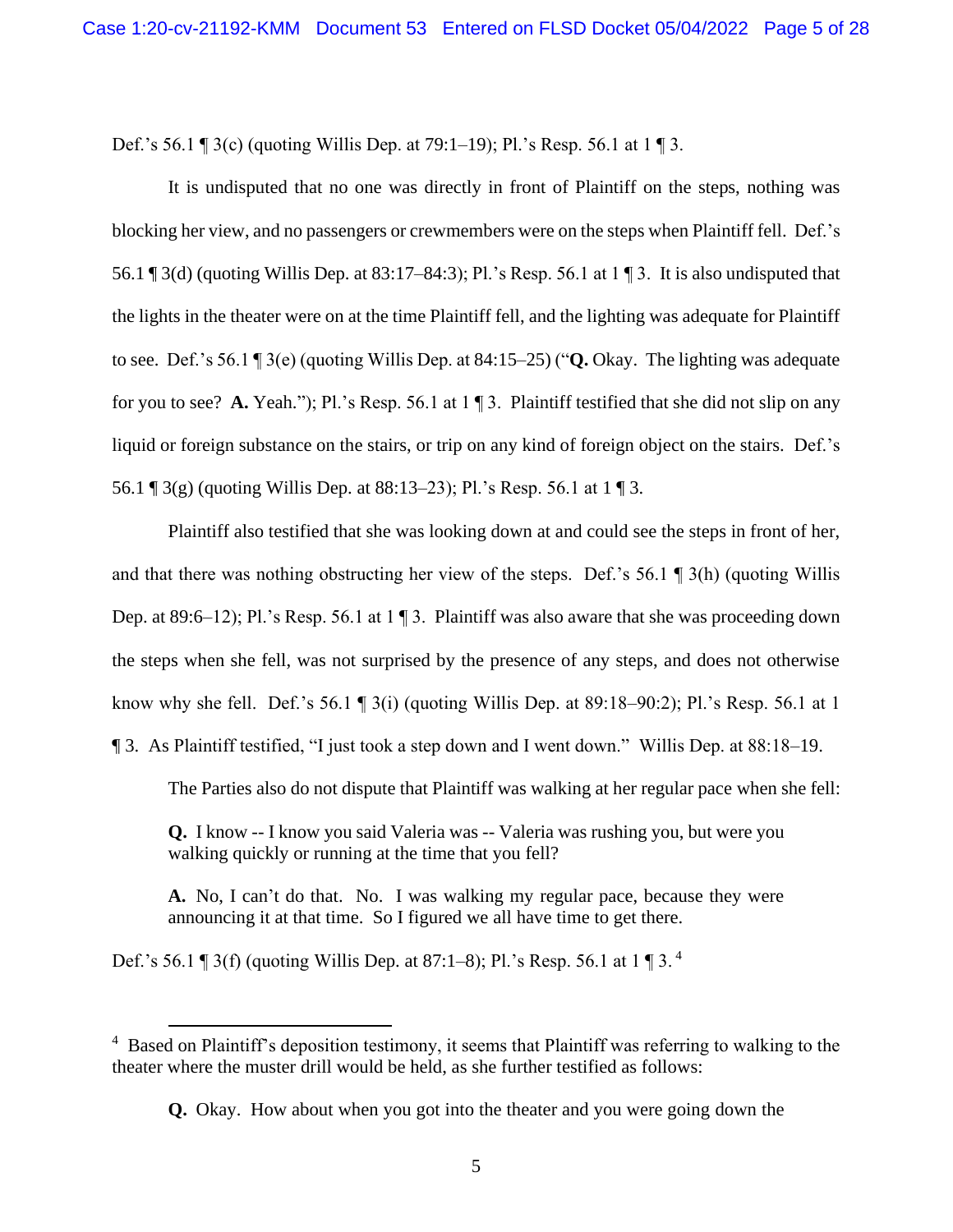Def.'s 56.1 ¶ 3(c) (quoting Willis Dep. at 79:1–19); Pl.'s Resp. 56.1 at 1 ¶ 3.

It is undisputed that no one was directly in front of Plaintiff on the steps, nothing was blocking her view, and no passengers or crewmembers were on the steps when Plaintiff fell. Def.'s 56.1 ¶ 3(d) (quoting Willis Dep. at 83:17–84:3); Pl.'s Resp. 56.1 at 1 ¶ 3. It is also undisputed that the lights in the theater were on at the time Plaintiff fell, and the lighting was adequate for Plaintiff to see. Def.'s 56.1 ¶ 3(e) (quoting Willis Dep. at 84:15–25) ("**Q.** Okay. The lighting was adequate for you to see? **A.** Yeah."); Pl.'s Resp. 56.1 at 1 ¶ 3. Plaintiff testified that she did not slip on any liquid or foreign substance on the stairs, or trip on any kind of foreign object on the stairs. Def.'s 56.1 ¶ 3(g) (quoting Willis Dep. at 88:13–23); Pl.'s Resp. 56.1 at 1 ¶ 3.

Plaintiff also testified that she was looking down at and could see the steps in front of her, and that there was nothing obstructing her view of the steps. Def.'s 56.1 ¶ 3(h) (quoting Willis Dep. at 89:6–12); Pl.'s Resp. 56.1 at 1 ¶ 3. Plaintiff was also aware that she was proceeding down the steps when she fell, was not surprised by the presence of any steps, and does not otherwise know why she fell. Def.'s 56.1  $\P$  3(i) (quoting Willis Dep. at 89:18–90:2); Pl.'s Resp. 56.1 at 1 ¶ 3. As Plaintiff testified, "I just took a step down and I went down." Willis Dep. at 88:18–19.

The Parties also do not dispute that Plaintiff was walking at her regular pace when she fell:

**Q.** I know -- I know you said Valeria was -- Valeria was rushing you, but were you walking quickly or running at the time that you fell?

**A.** No, I can't do that. No. I was walking my regular pace, because they were announcing it at that time. So I figured we all have time to get there.

Def.'s 56.1 ¶ 3(f) (quoting Willis Dep. at 87:1–8); Pl.'s Resp. 56.1 at 1 ¶ 3. <sup>4</sup>

<sup>&</sup>lt;sup>4</sup> Based on Plaintiff's deposition testimony, it seems that Plaintiff was referring to walking to the theater where the muster drill would be held, as she further testified as follows:

**Q.** Okay. How about when you got into the theater and you were going down the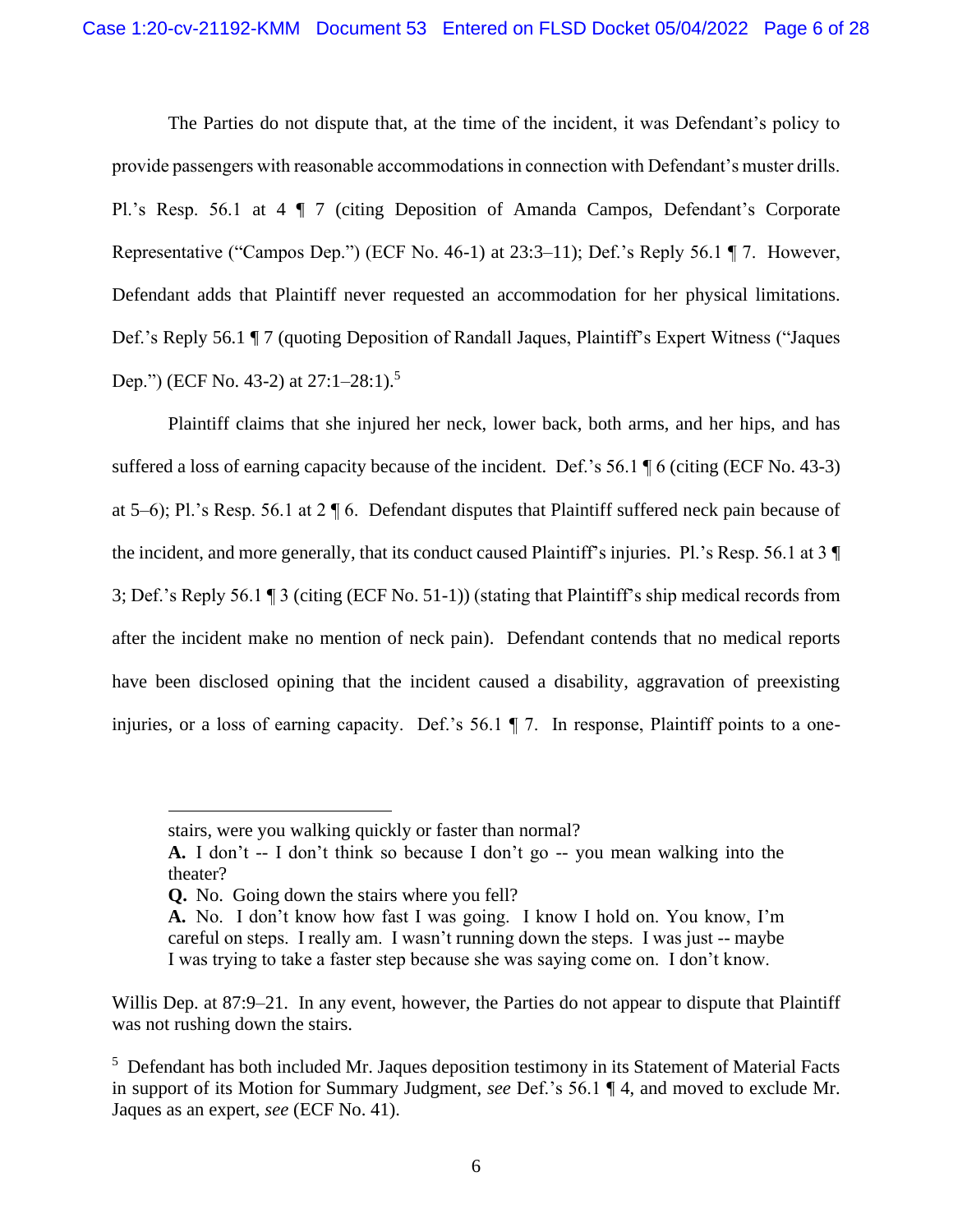The Parties do not dispute that, at the time of the incident, it was Defendant's policy to provide passengers with reasonable accommodations in connection with Defendant's muster drills. Pl.'s Resp. 56.1 at 4 ¶ 7 (citing Deposition of Amanda Campos, Defendant's Corporate Representative ("Campos Dep.") (ECF No. 46-1) at 23:3–11); Def.'s Reply 56.1 ¶ 7. However, Defendant adds that Plaintiff never requested an accommodation for her physical limitations. Def.'s Reply 56.1 ¶ 7 (quoting Deposition of Randall Jaques, Plaintiff's Expert Witness ("Jaques Dep.") (ECF No. 43-2) at 27:1-28:1).<sup>5</sup>

Plaintiff claims that she injured her neck, lower back, both arms, and her hips, and has suffered a loss of earning capacity because of the incident. Def.'s 56.1 ¶ 6 (citing (ECF No. 43-3) at 5–6); Pl.'s Resp. 56.1 at 2 ¶ 6. Defendant disputes that Plaintiff suffered neck pain because of the incident, and more generally, that its conduct caused Plaintiff's injuries. Pl.'s Resp. 56.1 at 3 ¶ 3; Def.'s Reply 56.1 ¶ 3 (citing (ECF No. 51-1)) (stating that Plaintiff's ship medical records from after the incident make no mention of neck pain). Defendant contends that no medical reports have been disclosed opining that the incident caused a disability, aggravation of preexisting injuries, or a loss of earning capacity. Def.'s 56.1 ¶ 7. In response, Plaintiff points to a one-

stairs, were you walking quickly or faster than normal?

**A.** I don't -- I don't think so because I don't go -- you mean walking into the theater?

**Q.** No. Going down the stairs where you fell?

**A.** No. I don't know how fast I was going. I know I hold on. You know, I'm careful on steps. I really am. I wasn't running down the steps. I was just -- maybe I was trying to take a faster step because she was saying come on. I don't know.

Willis Dep. at 87:9–21. In any event, however, the Parties do not appear to dispute that Plaintiff was not rushing down the stairs.

<sup>&</sup>lt;sup>5</sup> Defendant has both included Mr. Jaques deposition testimony in its Statement of Material Facts in support of its Motion for Summary Judgment, *see* Def.'s 56.1 ¶ 4, and moved to exclude Mr. Jaques as an expert, *see* (ECF No. 41).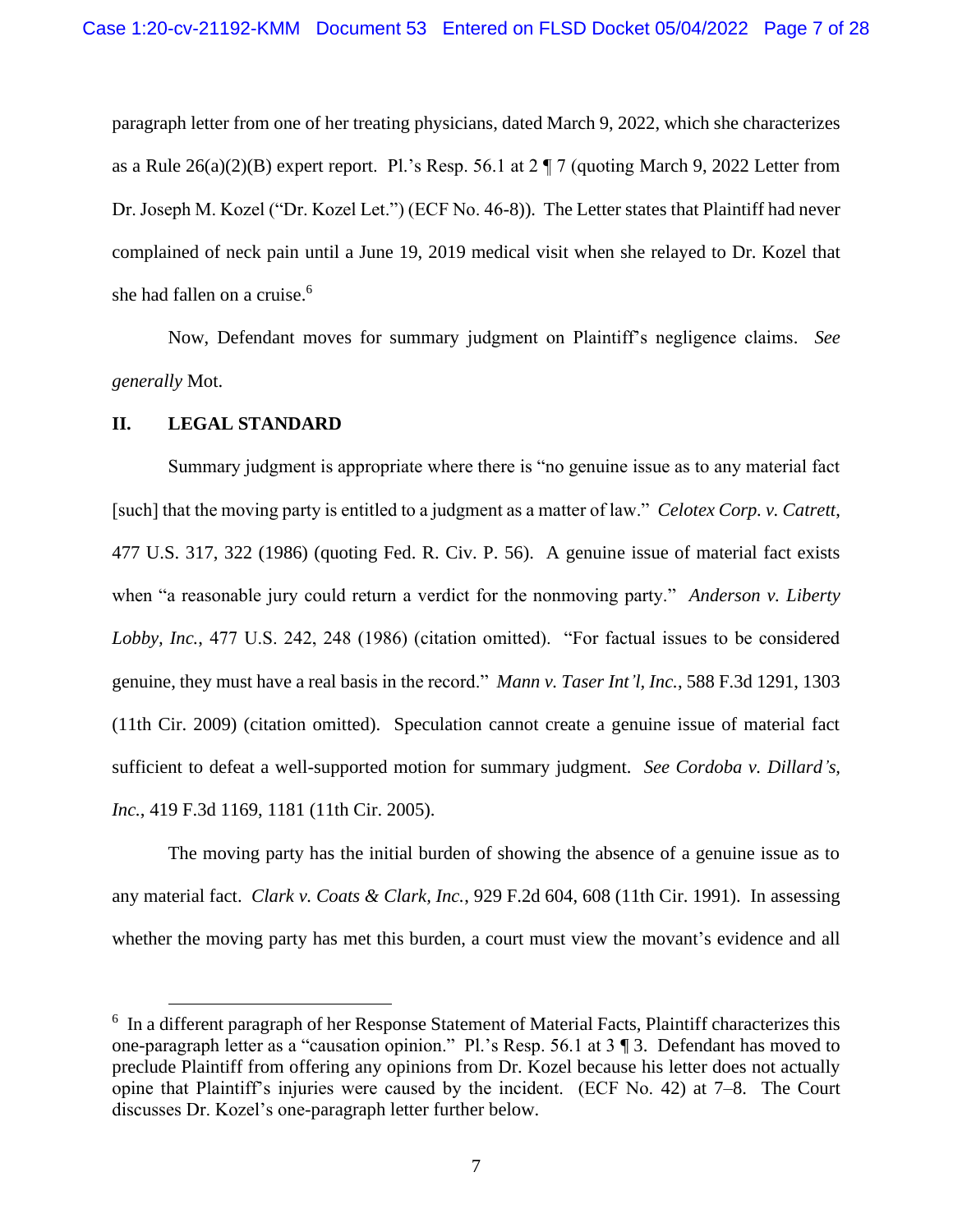paragraph letter from one of her treating physicians, dated March 9, 2022, which she characterizes as a Rule  $26(a)(2)(B)$  expert report. Pl.'s Resp. 56.1 at  $2 \text{ } \text{T}$  (quoting March 9, 2022 Letter from Dr. Joseph M. Kozel ("Dr. Kozel Let.") (ECF No. 46-8)). The Letter states that Plaintiff had never complained of neck pain until a June 19, 2019 medical visit when she relayed to Dr. Kozel that she had fallen on a cruise. 6

Now, Defendant moves for summary judgment on Plaintiff's negligence claims. *See generally* Mot.

### **II. LEGAL STANDARD**

Summary judgment is appropriate where there is "no genuine issue as to any material fact [such] that the moving party is entitled to a judgment as a matter of law." *Celotex Corp. v. Catrett*, 477 U.S. 317, 322 (1986) (quoting Fed. R. Civ. P. 56). A genuine issue of material fact exists when "a reasonable jury could return a verdict for the nonmoving party." *Anderson v. Liberty Lobby, Inc.*, 477 U.S. 242, 248 (1986) (citation omitted). "For factual issues to be considered genuine, they must have a real basis in the record." *Mann v. Taser Int'l, Inc.*, 588 F.3d 1291, 1303 (11th Cir. 2009) (citation omitted). Speculation cannot create a genuine issue of material fact sufficient to defeat a well-supported motion for summary judgment. *See Cordoba v. Dillard's, Inc.*, 419 F.3d 1169, 1181 (11th Cir. 2005).

The moving party has the initial burden of showing the absence of a genuine issue as to any material fact. *Clark v. Coats & Clark, Inc.*, 929 F.2d 604, 608 (11th Cir. 1991). In assessing whether the moving party has met this burden, a court must view the movant's evidence and all

<sup>&</sup>lt;sup>6</sup> In a different paragraph of her Response Statement of Material Facts, Plaintiff characterizes this one-paragraph letter as a "causation opinion." Pl.'s Resp. 56.1 at 3 ¶ 3. Defendant has moved to preclude Plaintiff from offering any opinions from Dr. Kozel because his letter does not actually opine that Plaintiff's injuries were caused by the incident. (ECF No. 42) at 7–8. The Court discusses Dr. Kozel's one-paragraph letter further below.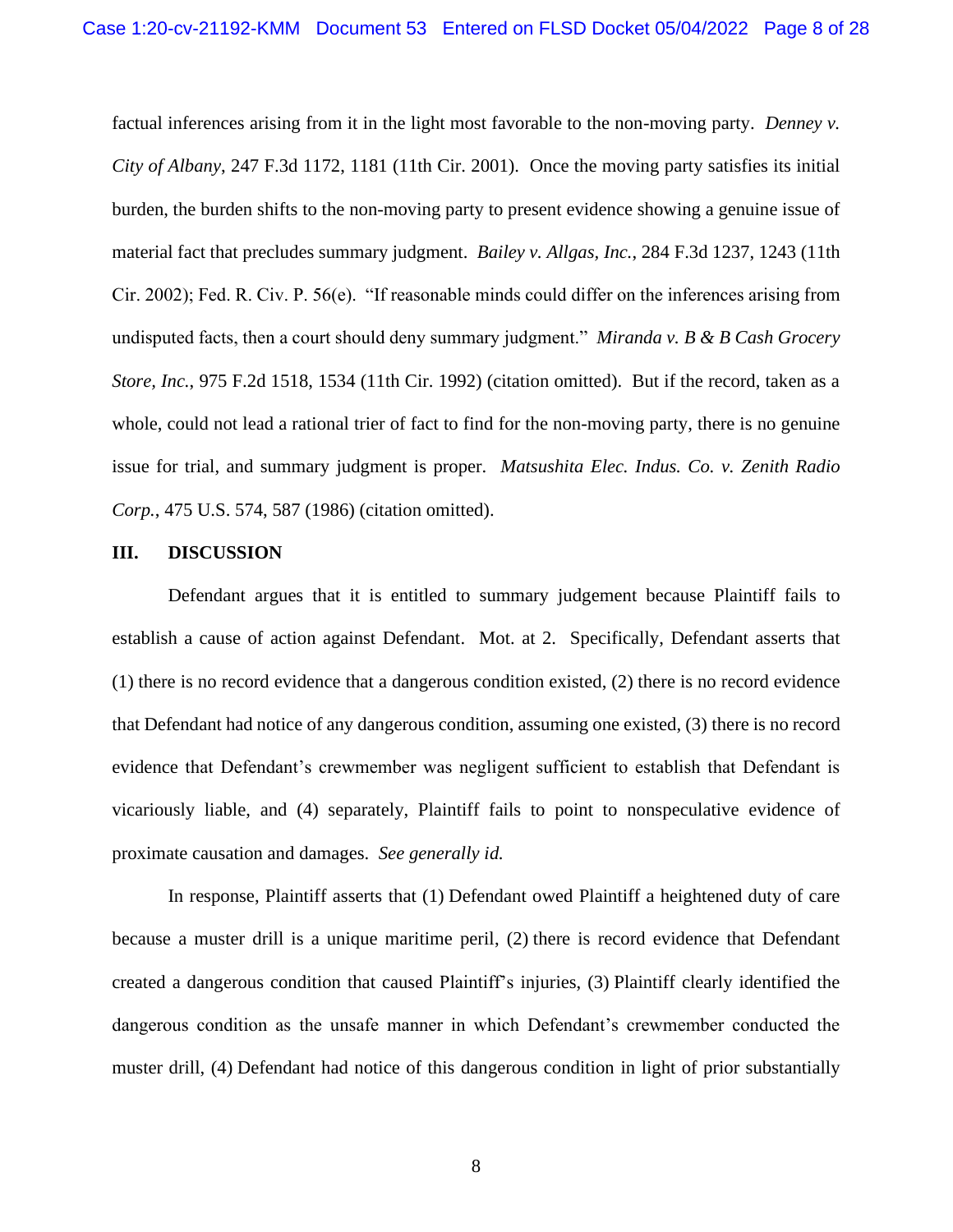factual inferences arising from it in the light most favorable to the non-moving party. *Denney v. City of Albany*, 247 F.3d 1172, 1181 (11th Cir. 2001). Once the moving party satisfies its initial burden, the burden shifts to the non-moving party to present evidence showing a genuine issue of material fact that precludes summary judgment. *Bailey v. Allgas, Inc.*, 284 F.3d 1237, 1243 (11th Cir. 2002); Fed. R. Civ. P. 56(e). "If reasonable minds could differ on the inferences arising from undisputed facts, then a court should deny summary judgment." *Miranda v. B & B Cash Grocery Store, Inc.*, 975 F.2d 1518, 1534 (11th Cir. 1992) (citation omitted). But if the record, taken as a whole, could not lead a rational trier of fact to find for the non-moving party, there is no genuine issue for trial, and summary judgment is proper. *Matsushita Elec. Indus. Co. v. Zenith Radio Corp.*, 475 U.S. 574, 587 (1986) (citation omitted).

#### **III. DISCUSSION**

Defendant argues that it is entitled to summary judgement because Plaintiff fails to establish a cause of action against Defendant. Mot. at 2. Specifically, Defendant asserts that (1) there is no record evidence that a dangerous condition existed, (2) there is no record evidence that Defendant had notice of any dangerous condition, assuming one existed, (3) there is no record evidence that Defendant's crewmember was negligent sufficient to establish that Defendant is vicariously liable, and (4) separately, Plaintiff fails to point to nonspeculative evidence of proximate causation and damages. *See generally id.*

In response, Plaintiff asserts that (1) Defendant owed Plaintiff a heightened duty of care because a muster drill is a unique maritime peril, (2) there is record evidence that Defendant created a dangerous condition that caused Plaintiff's injuries, (3) Plaintiff clearly identified the dangerous condition as the unsafe manner in which Defendant's crewmember conducted the muster drill, (4) Defendant had notice of this dangerous condition in light of prior substantially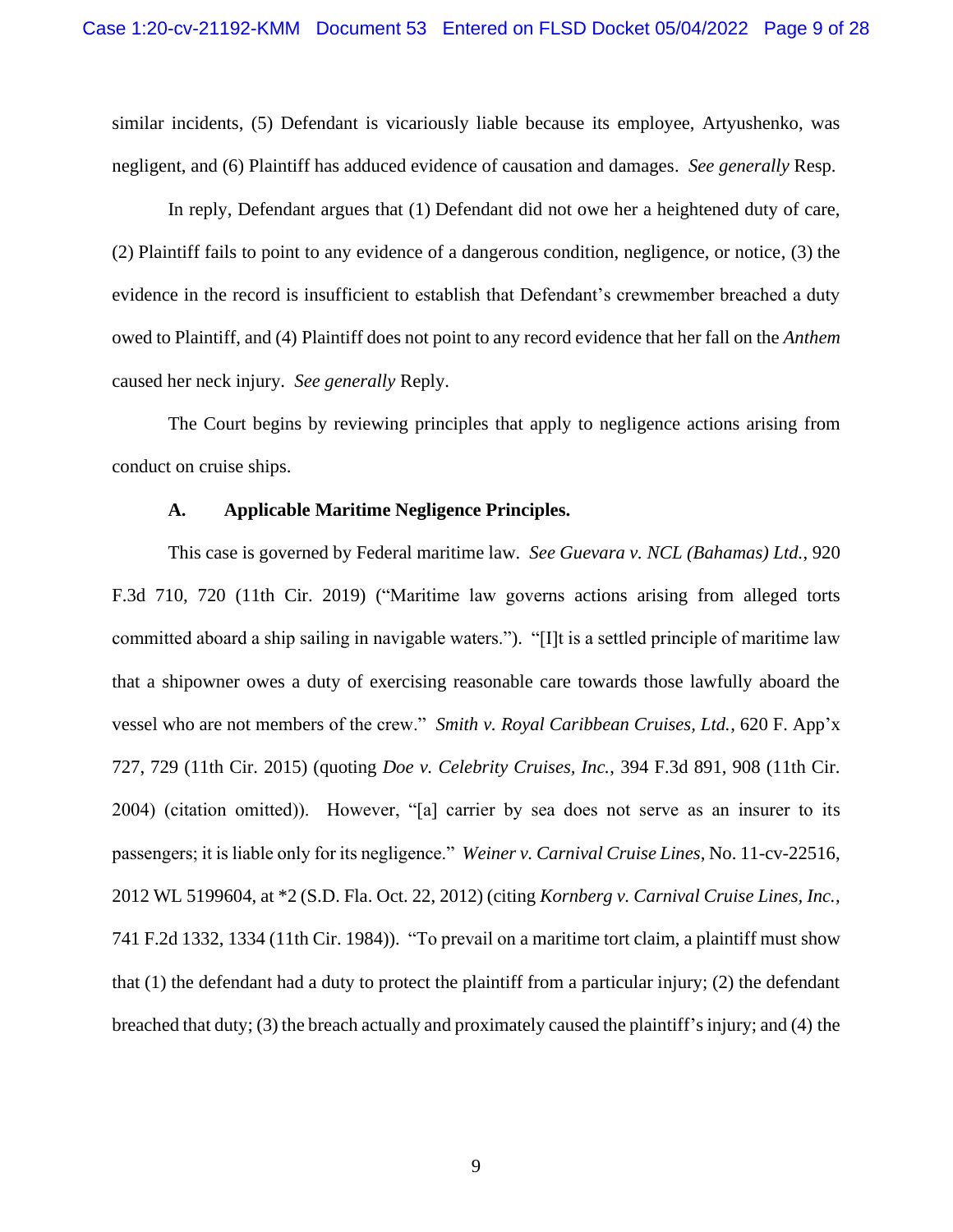similar incidents, (5) Defendant is vicariously liable because its employee, Artyushenko, was negligent, and (6) Plaintiff has adduced evidence of causation and damages. *See generally* Resp.

In reply, Defendant argues that (1) Defendant did not owe her a heightened duty of care, (2) Plaintiff fails to point to any evidence of a dangerous condition, negligence, or notice, (3) the evidence in the record is insufficient to establish that Defendant's crewmember breached a duty owed to Plaintiff, and (4) Plaintiff does not point to any record evidence that her fall on the *Anthem* caused her neck injury. *See generally* Reply.

The Court begins by reviewing principles that apply to negligence actions arising from conduct on cruise ships.

#### **A. Applicable Maritime Negligence Principles.**

This case is governed by Federal maritime law. *See Guevara v. NCL (Bahamas) Ltd.*, 920 F.3d 710, 720 (11th Cir. 2019) ("Maritime law governs actions arising from alleged torts committed aboard a ship sailing in navigable waters."). "[I]t is a settled principle of maritime law that a shipowner owes a duty of exercising reasonable care towards those lawfully aboard the vessel who are not members of the crew." *Smith v. Royal Caribbean Cruises, Ltd.*, 620 F. App'x 727, 729 (11th Cir. 2015) (quoting *Doe v. Celebrity Cruises, Inc.*, 394 F.3d 891, 908 (11th Cir. 2004) (citation omitted)). However, "[a] carrier by sea does not serve as an insurer to its passengers; it is liable only for its negligence." *Weiner v. Carnival Cruise Lines*, No. 11-cv-22516, 2012 WL 5199604, at \*2 (S.D. Fla. Oct. 22, 2012) (citing *Kornberg v. Carnival Cruise Lines, Inc.*, 741 F.2d 1332, 1334 (11th Cir. 1984)). "To prevail on a maritime tort claim, a plaintiff must show that (1) the defendant had a duty to protect the plaintiff from a particular injury; (2) the defendant breached that duty; (3) the breach actually and proximately caused the plaintiff's injury; and (4) the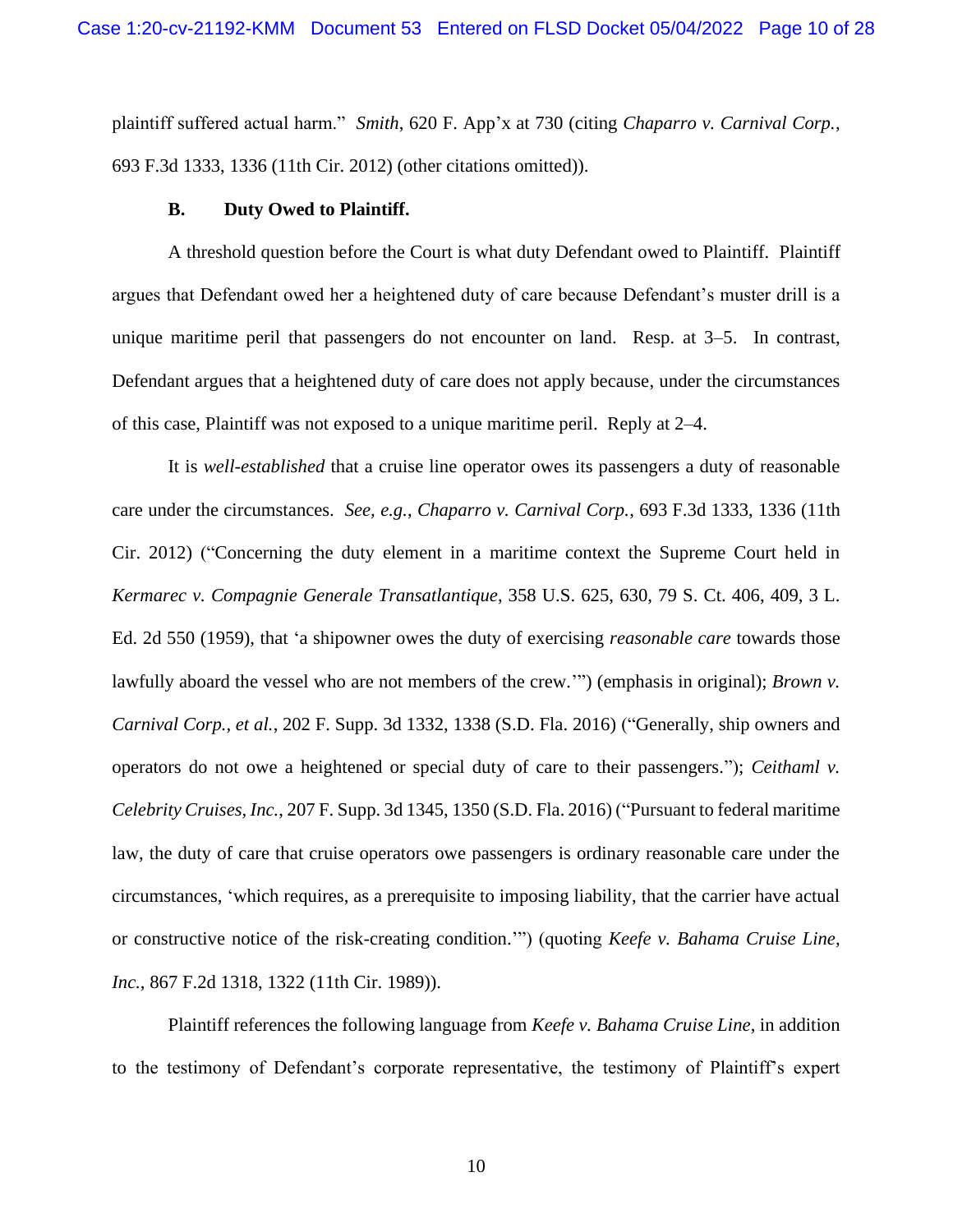plaintiff suffered actual harm." *Smith*, 620 F. App'x at 730 (citing *Chaparro v. Carnival Corp.*, 693 F.3d 1333, 1336 (11th Cir. 2012) (other citations omitted)).

#### **B. Duty Owed to Plaintiff.**

A threshold question before the Court is what duty Defendant owed to Plaintiff. Plaintiff argues that Defendant owed her a heightened duty of care because Defendant's muster drill is a unique maritime peril that passengers do not encounter on land. Resp. at 3–5. In contrast, Defendant argues that a heightened duty of care does not apply because, under the circumstances of this case, Plaintiff was not exposed to a unique maritime peril. Reply at 2–4.

It is *well-established* that a cruise line operator owes its passengers a duty of reasonable care under the circumstances. *See, e.g.*, *Chaparro v. Carnival Corp.*, 693 F.3d 1333, 1336 (11th Cir. 2012) ("Concerning the duty element in a maritime context the Supreme Court held in *Kermarec v. Compagnie Generale Transatlantique*, 358 U.S. 625, 630, 79 S. Ct. 406, 409, 3 L. Ed. 2d 550 (1959), that 'a shipowner owes the duty of exercising *reasonable care* towards those lawfully aboard the vessel who are not members of the crew.'") (emphasis in original); *Brown v. Carnival Corp., et al.*, 202 F. Supp. 3d 1332, 1338 (S.D. Fla. 2016) ("Generally, ship owners and operators do not owe a heightened or special duty of care to their passengers."); *Ceithaml v. Celebrity Cruises, Inc.*, 207 F. Supp. 3d 1345, 1350 (S.D. Fla. 2016) ("Pursuant to federal maritime law, the duty of care that cruise operators owe passengers is ordinary reasonable care under the circumstances, 'which requires, as a prerequisite to imposing liability, that the carrier have actual or constructive notice of the risk-creating condition.'") (quoting *Keefe v. Bahama Cruise Line, Inc.*, 867 F.2d 1318, 1322 (11th Cir. 1989)).

Plaintiff references the following language from *Keefe v. Bahama Cruise Line*, in addition to the testimony of Defendant's corporate representative, the testimony of Plaintiff's expert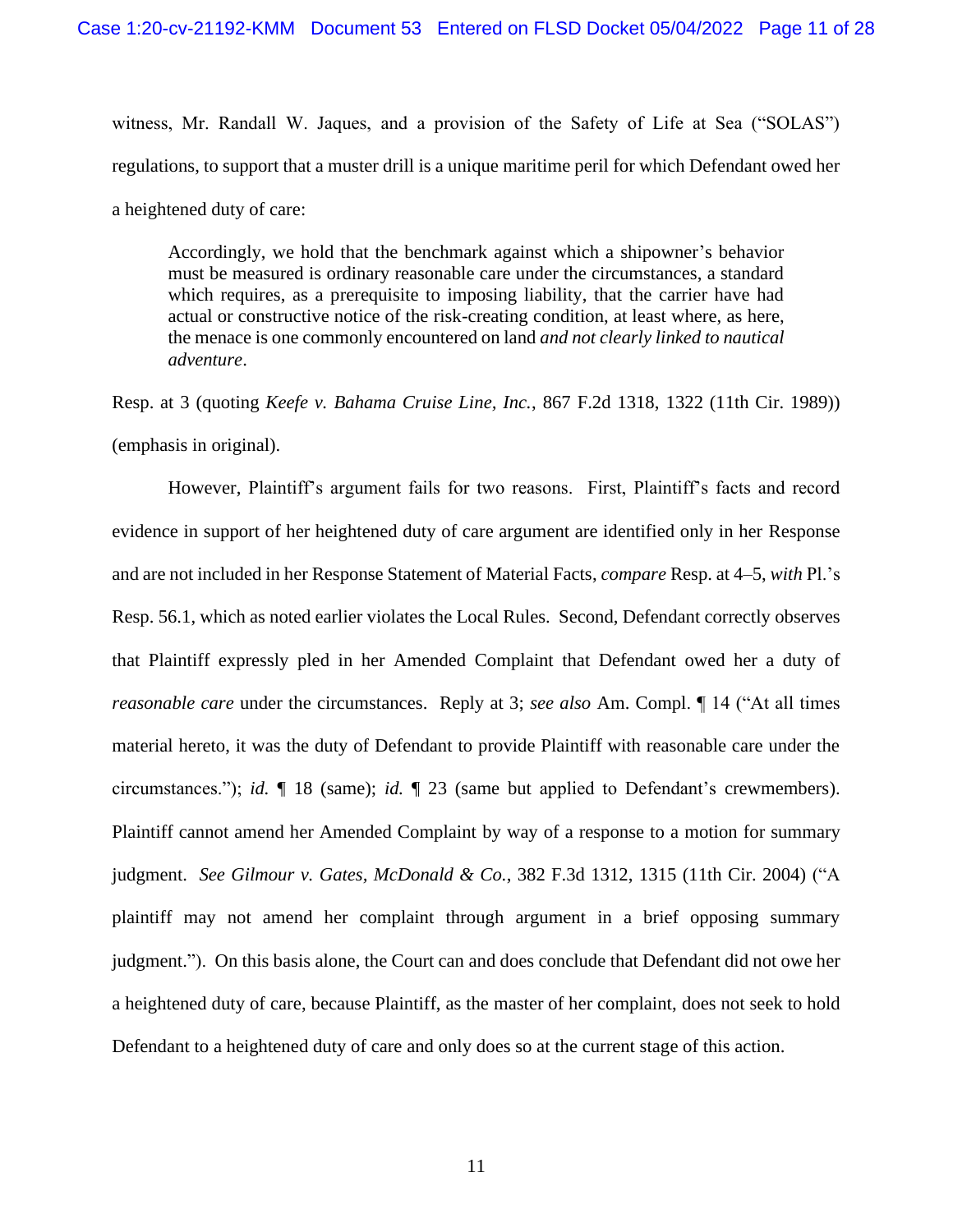witness, Mr. Randall W. Jaques, and a provision of the Safety of Life at Sea ("SOLAS") regulations, to support that a muster drill is a unique maritime peril for which Defendant owed her a heightened duty of care:

Accordingly, we hold that the benchmark against which a shipowner's behavior must be measured is ordinary reasonable care under the circumstances, a standard which requires, as a prerequisite to imposing liability, that the carrier have had actual or constructive notice of the risk-creating condition, at least where, as here, the menace is one commonly encountered on land *and not clearly linked to nautical adventure*.

Resp. at 3 (quoting *Keefe v. Bahama Cruise Line, Inc.*, 867 F.2d 1318, 1322 (11th Cir. 1989)) (emphasis in original).

However, Plaintiff's argument fails for two reasons. First, Plaintiff's facts and record evidence in support of her heightened duty of care argument are identified only in her Response and are not included in her Response Statement of Material Facts, *compare* Resp. at 4–5, *with* Pl.'s Resp. 56.1, which as noted earlier violates the Local Rules. Second, Defendant correctly observes that Plaintiff expressly pled in her Amended Complaint that Defendant owed her a duty of *reasonable care* under the circumstances. Reply at 3; *see also* Am. Compl. ¶ 14 ("At all times material hereto, it was the duty of Defendant to provide Plaintiff with reasonable care under the circumstances."); *id.* ¶ 18 (same); *id.* ¶ 23 (same but applied to Defendant's crewmembers). Plaintiff cannot amend her Amended Complaint by way of a response to a motion for summary judgment. *See Gilmour v. Gates, McDonald & Co.*, 382 F.3d 1312, 1315 (11th Cir. 2004) ("A plaintiff may not amend her complaint through argument in a brief opposing summary judgment."). On this basis alone, the Court can and does conclude that Defendant did not owe her a heightened duty of care, because Plaintiff, as the master of her complaint, does not seek to hold Defendant to a heightened duty of care and only does so at the current stage of this action.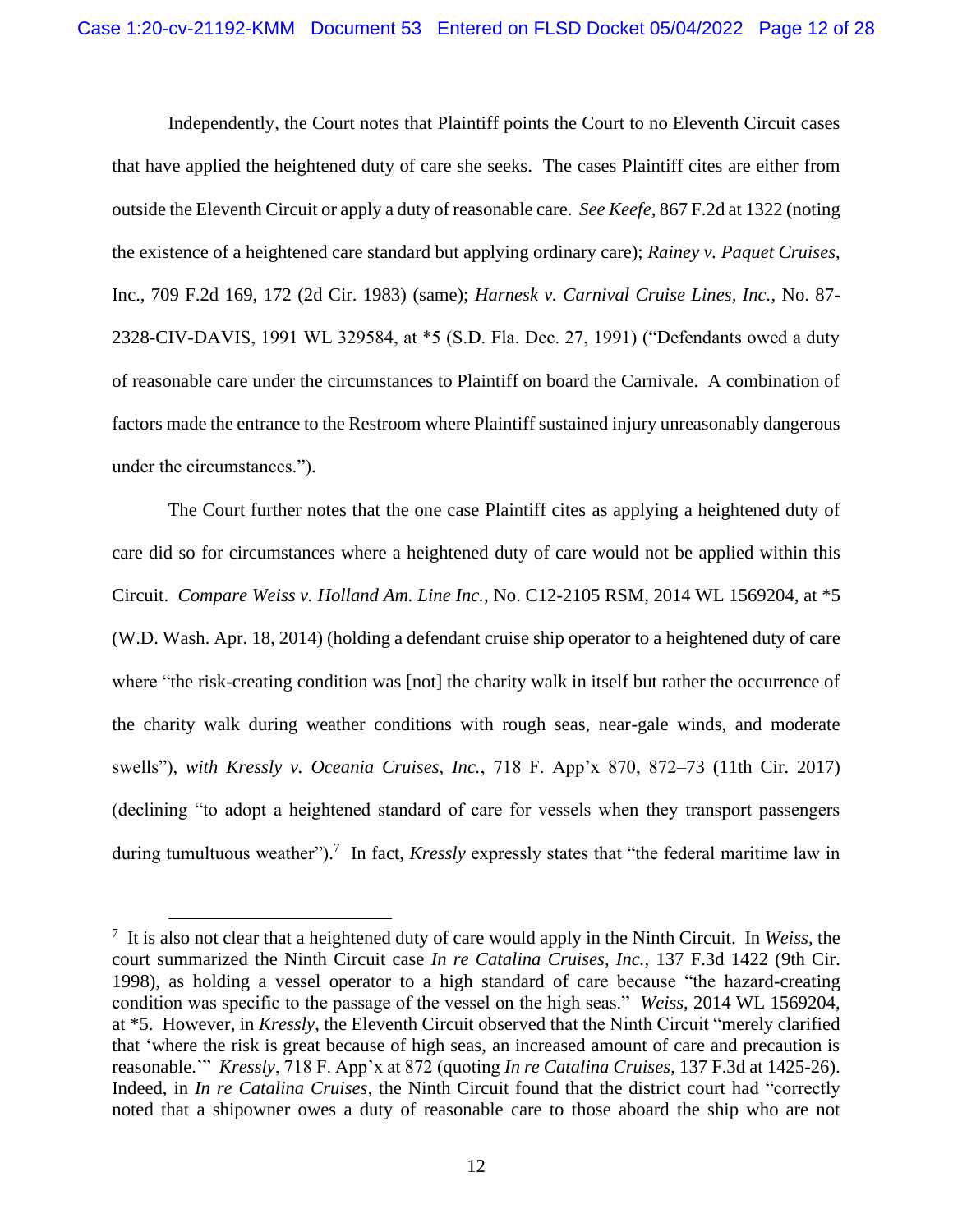Independently, the Court notes that Plaintiff points the Court to no Eleventh Circuit cases that have applied the heightened duty of care she seeks. The cases Plaintiff cites are either from outside the Eleventh Circuit or apply a duty of reasonable care. *See Keefe*, 867 F.2d at 1322 (noting the existence of a heightened care standard but applying ordinary care); *Rainey v. Paquet Cruises*, Inc., 709 F.2d 169, 172 (2d Cir. 1983) (same); *Harnesk v. Carnival Cruise Lines, Inc.*, No. 87- 2328-CIV-DAVIS, 1991 WL 329584, at \*5 (S.D. Fla. Dec. 27, 1991) ("Defendants owed a duty of reasonable care under the circumstances to Plaintiff on board the Carnivale. A combination of factors made the entrance to the Restroom where Plaintiff sustained injury unreasonably dangerous under the circumstances.").

The Court further notes that the one case Plaintiff cites as applying a heightened duty of care did so for circumstances where a heightened duty of care would not be applied within this Circuit. *Compare Weiss v. Holland Am. Line Inc.*, No. C12-2105 RSM, 2014 WL 1569204, at \*5 (W.D. Wash. Apr. 18, 2014) (holding a defendant cruise ship operator to a heightened duty of care where "the risk-creating condition was [not] the charity walk in itself but rather the occurrence of the charity walk during weather conditions with rough seas, near-gale winds, and moderate swells"), *with Kressly v. Oceania Cruises, Inc.*, 718 F. App'x 870, 872–73 (11th Cir. 2017) (declining "to adopt a heightened standard of care for vessels when they transport passengers during tumultuous weather"). 7 In fact, *Kressly* expressly states that "the federal maritime law in

<sup>7</sup> It is also not clear that a heightened duty of care would apply in the Ninth Circuit. In *Weiss,* the court summarized the Ninth Circuit case *In re Catalina Cruises, Inc.*, 137 F.3d 1422 (9th Cir. 1998), as holding a vessel operator to a high standard of care because "the hazard-creating condition was specific to the passage of the vessel on the high seas." *Weiss*, 2014 WL 1569204, at \*5. However, in *Kressly*, the Eleventh Circuit observed that the Ninth Circuit "merely clarified that 'where the risk is great because of high seas, an increased amount of care and precaution is reasonable.'" *Kressly*, 718 F. App'x at 872 (quoting *In re Catalina Cruises*, 137 F.3d at 1425-26). Indeed, in *In re Catalina Cruises*, the Ninth Circuit found that the district court had "correctly noted that a shipowner owes a duty of reasonable care to those aboard the ship who are not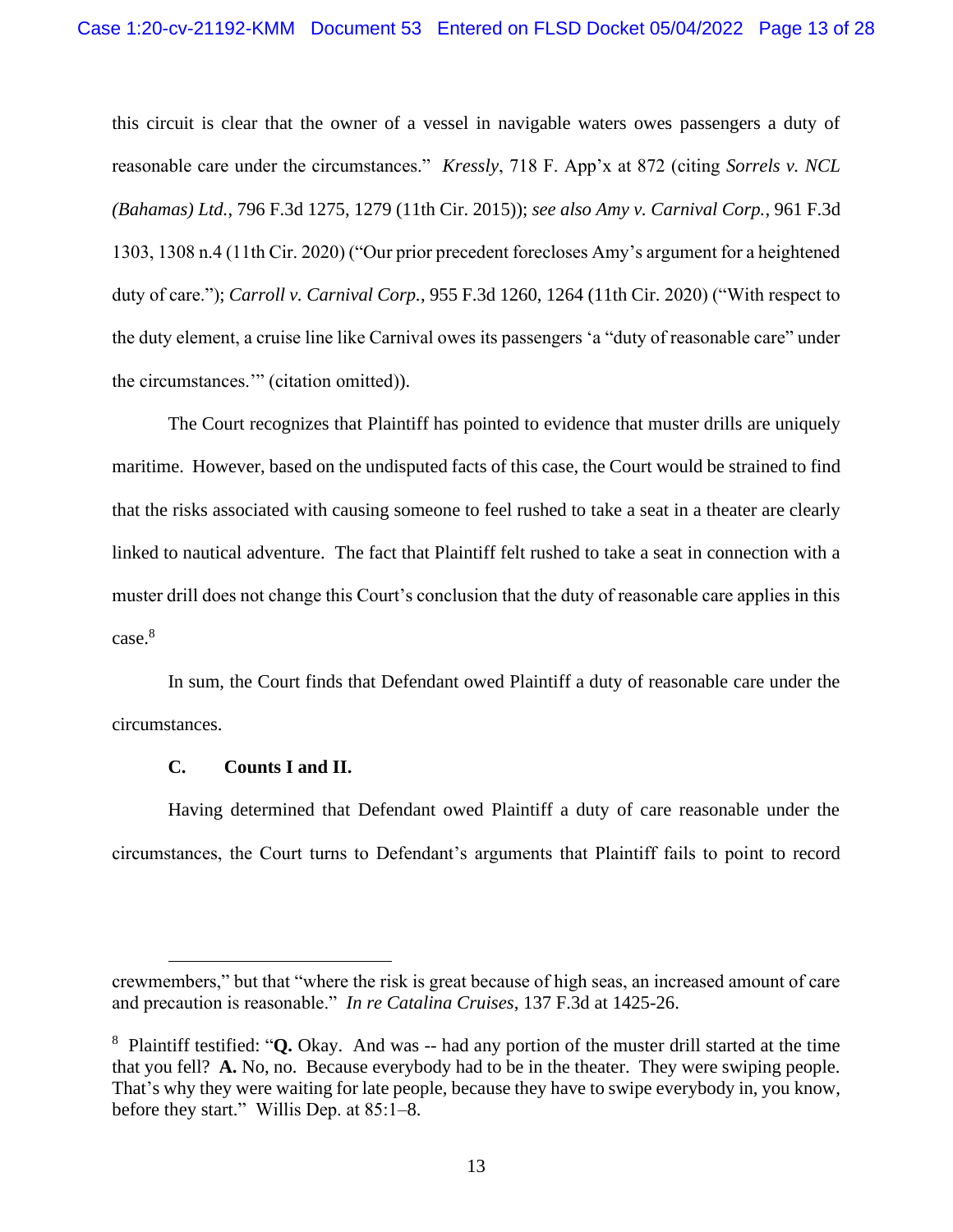this circuit is clear that the owner of a vessel in navigable waters owes passengers a duty of reasonable care under the circumstances." *Kressly*, 718 F. App'x at 872 (citing *Sorrels v. NCL (Bahamas) Ltd.*, 796 F.3d 1275, 1279 (11th Cir. 2015)); *see also Amy v. Carnival Corp.*, 961 F.3d 1303, 1308 n.4 (11th Cir. 2020) ("Our prior precedent forecloses Amy's argument for a heightened duty of care."); *Carroll v. Carnival Corp.*, 955 F.3d 1260, 1264 (11th Cir. 2020) ("With respect to the duty element, a cruise line like Carnival owes its passengers 'a "duty of reasonable care" under the circumstances.'" (citation omitted)).

The Court recognizes that Plaintiff has pointed to evidence that muster drills are uniquely maritime. However, based on the undisputed facts of this case, the Court would be strained to find that the risks associated with causing someone to feel rushed to take a seat in a theater are clearly linked to nautical adventure. The fact that Plaintiff felt rushed to take a seat in connection with a muster drill does not change this Court's conclusion that the duty of reasonable care applies in this case. 8

In sum, the Court finds that Defendant owed Plaintiff a duty of reasonable care under the circumstances.

### **C. Counts I and II.**

Having determined that Defendant owed Plaintiff a duty of care reasonable under the circumstances, the Court turns to Defendant's arguments that Plaintiff fails to point to record

crewmembers," but that "where the risk is great because of high seas, an increased amount of care and precaution is reasonable." *In re Catalina Cruises*, 137 F.3d at 1425-26.

<sup>8</sup> Plaintiff testified: "**Q.** Okay. And was -- had any portion of the muster drill started at the time that you fell? **A.** No, no. Because everybody had to be in the theater. They were swiping people. That's why they were waiting for late people, because they have to swipe everybody in, you know, before they start." Willis Dep. at 85:1–8.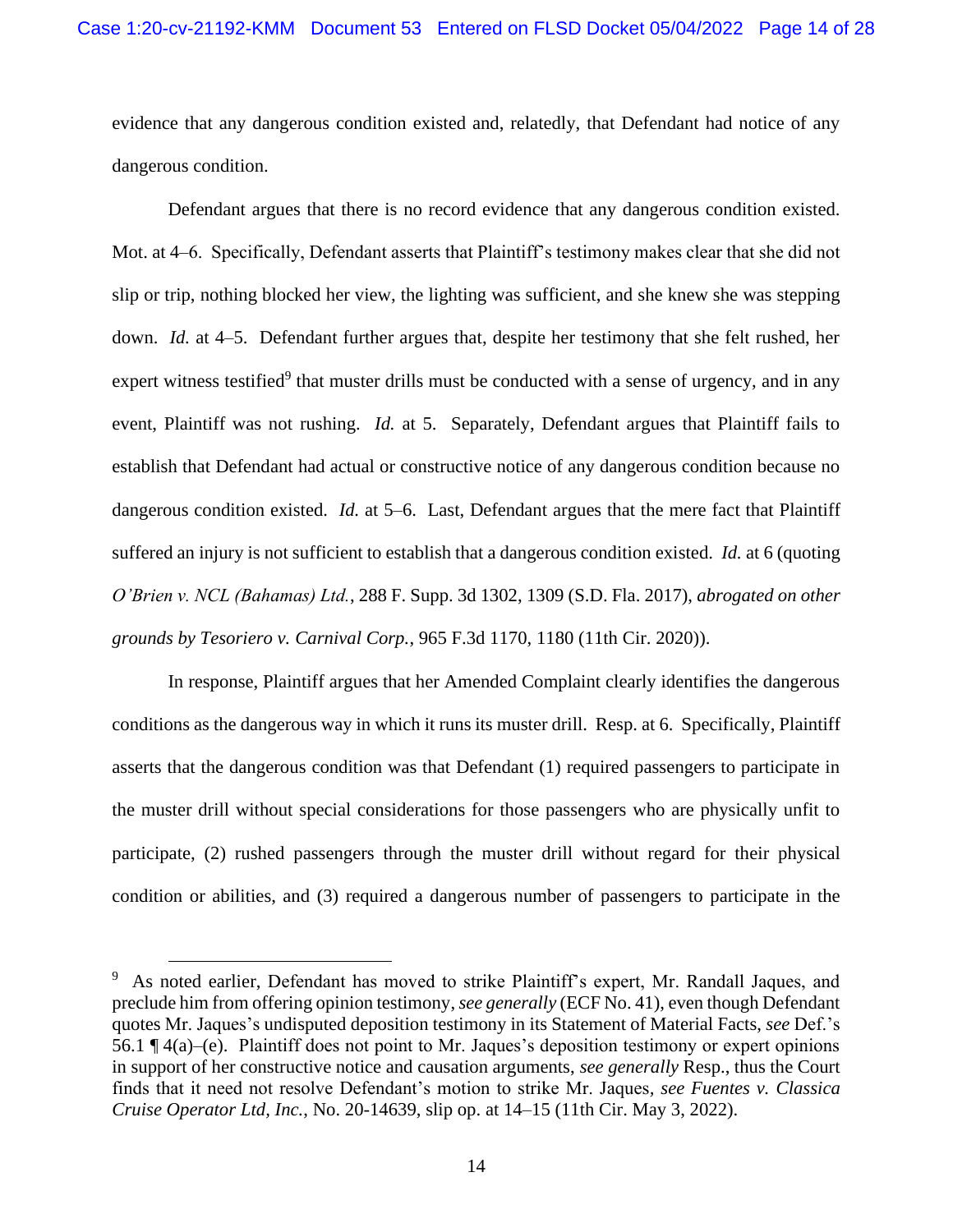evidence that any dangerous condition existed and, relatedly, that Defendant had notice of any dangerous condition.

Defendant argues that there is no record evidence that any dangerous condition existed. Mot. at 4–6. Specifically, Defendant asserts that Plaintiff's testimony makes clear that she did not slip or trip, nothing blocked her view, the lighting was sufficient, and she knew she was stepping down. *Id.* at 4–5. Defendant further argues that, despite her testimony that she felt rushed, her expert witness testified<sup>9</sup> that muster drills must be conducted with a sense of urgency, and in any event, Plaintiff was not rushing. *Id.* at 5. Separately, Defendant argues that Plaintiff fails to establish that Defendant had actual or constructive notice of any dangerous condition because no dangerous condition existed. *Id.* at 5–6. Last, Defendant argues that the mere fact that Plaintiff suffered an injury is not sufficient to establish that a dangerous condition existed. *Id.* at 6 (quoting *O'Brien v. NCL (Bahamas) Ltd.*, 288 F. Supp. 3d 1302, 1309 (S.D. Fla. 2017), *abrogated on other grounds by Tesoriero v. Carnival Corp.*, 965 F.3d 1170, 1180 (11th Cir. 2020)).

In response, Plaintiff argues that her Amended Complaint clearly identifies the dangerous conditions as the dangerous way in which it runs its muster drill. Resp. at 6. Specifically, Plaintiff asserts that the dangerous condition was that Defendant (1) required passengers to participate in the muster drill without special considerations for those passengers who are physically unfit to participate, (2) rushed passengers through the muster drill without regard for their physical condition or abilities, and (3) required a dangerous number of passengers to participate in the

<sup>&</sup>lt;sup>9</sup> As noted earlier, Defendant has moved to strike Plaintiff's expert, Mr. Randall Jaques, and preclude him from offering opinion testimony,*see generally* (ECF No. 41), even though Defendant quotes Mr. Jaques's undisputed deposition testimony in its Statement of Material Facts, *see* Def.'s 56.1 ¶ 4(a)–(e). Plaintiff does not point to Mr. Jaques's deposition testimony or expert opinions in support of her constructive notice and causation arguments, *see generally* Resp., thus the Court finds that it need not resolve Defendant's motion to strike Mr. Jaques*, see Fuentes v. Classica Cruise Operator Ltd, Inc.*, No. 20-14639, slip op. at 14–15 (11th Cir. May 3, 2022).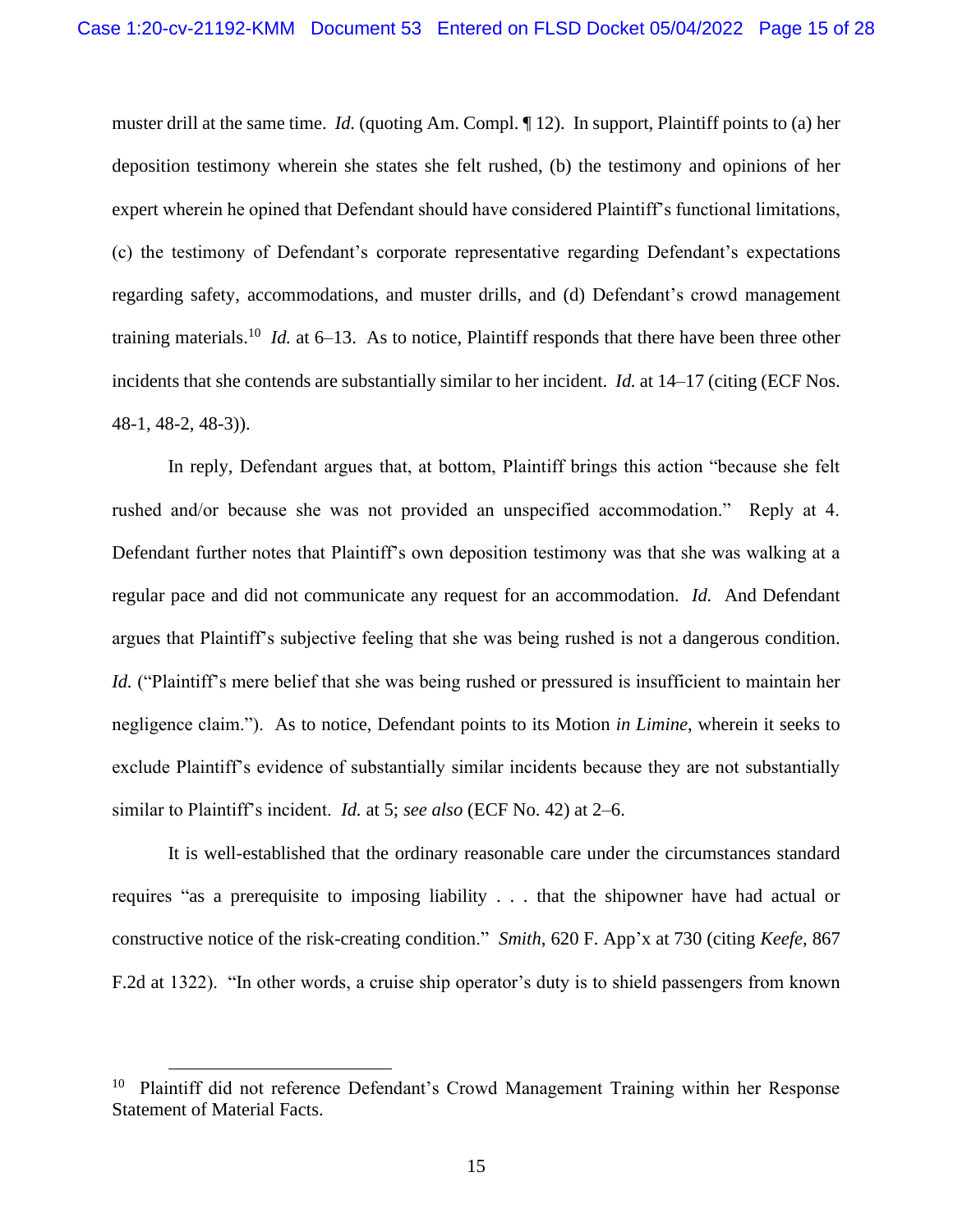muster drill at the same time. *Id.* (quoting Am. Compl. ¶ 12). In support, Plaintiff points to (a) her deposition testimony wherein she states she felt rushed, (b) the testimony and opinions of her expert wherein he opined that Defendant should have considered Plaintiff's functional limitations, (c) the testimony of Defendant's corporate representative regarding Defendant's expectations regarding safety, accommodations, and muster drills, and (d) Defendant's crowd management training materials.<sup>10</sup> *Id.* at 6–13. As to notice, Plaintiff responds that there have been three other incidents that she contends are substantially similar to her incident. *Id.* at 14–17 (citing (ECF Nos. 48-1, 48-2, 48-3)).

In reply, Defendant argues that, at bottom, Plaintiff brings this action "because she felt rushed and/or because she was not provided an unspecified accommodation." Reply at 4. Defendant further notes that Plaintiff's own deposition testimony was that she was walking at a regular pace and did not communicate any request for an accommodation. *Id.* And Defendant argues that Plaintiff's subjective feeling that she was being rushed is not a dangerous condition. *Id.* ("Plaintiff's mere belief that she was being rushed or pressured is insufficient to maintain her negligence claim."). As to notice, Defendant points to its Motion *in Limine*, wherein it seeks to exclude Plaintiff's evidence of substantially similar incidents because they are not substantially similar to Plaintiff's incident. *Id.* at 5; *see also* (ECF No. 42) at 2–6.

It is well-established that the ordinary reasonable care under the circumstances standard requires "as a prerequisite to imposing liability . . . that the shipowner have had actual or constructive notice of the risk-creating condition." *Smith*, 620 F. App'x at 730 (citing *Keefe*, 867 F.2d at 1322). "In other words, a cruise ship operator's duty is to shield passengers from known

<sup>10</sup> Plaintiff did not reference Defendant's Crowd Management Training within her Response Statement of Material Facts.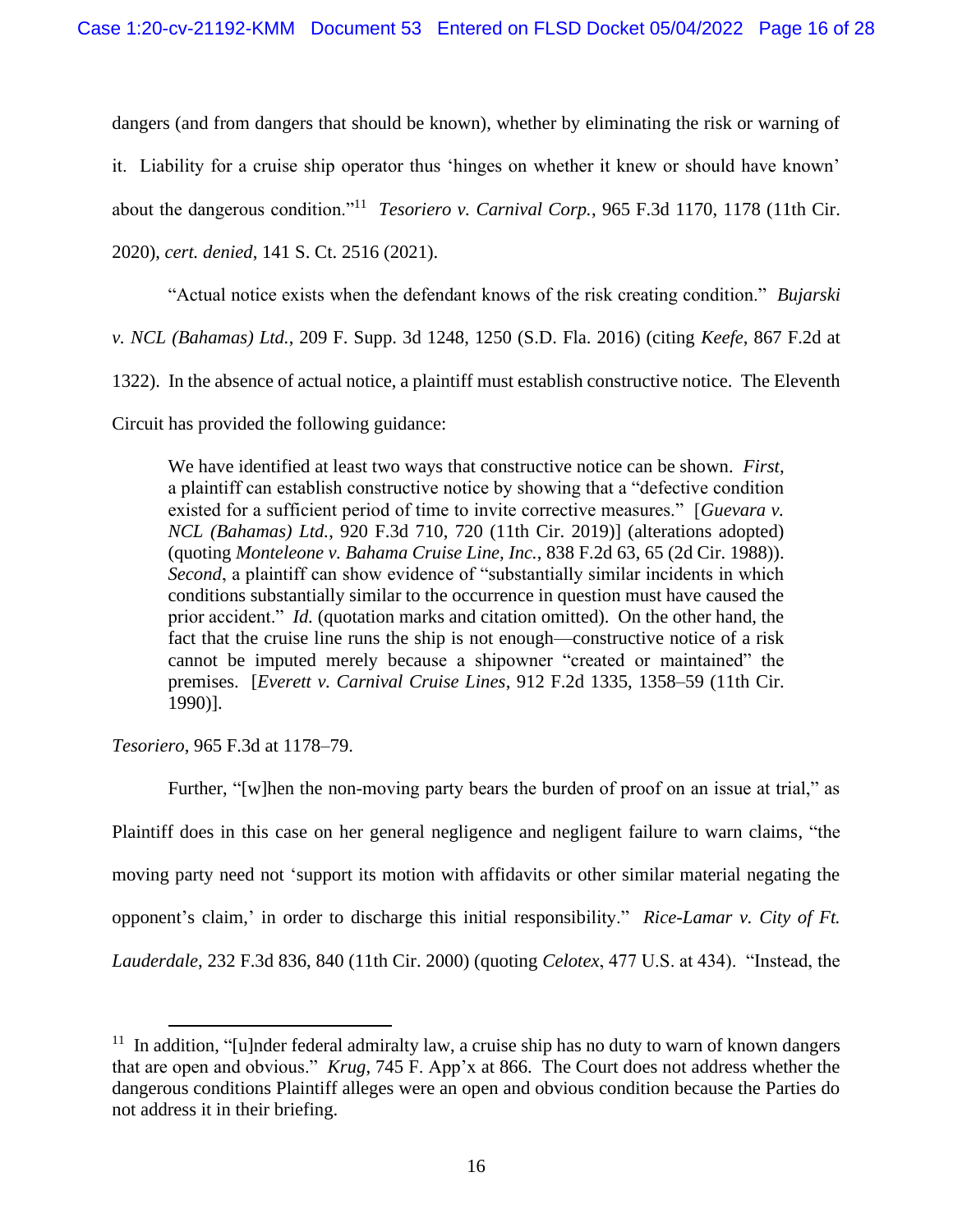dangers (and from dangers that should be known), whether by eliminating the risk or warning of it. Liability for a cruise ship operator thus 'hinges on whether it knew or should have known' about the dangerous condition."<sup>11</sup> Tesoriero v. Carnival Corp., 965 F.3d 1170, 1178 (11th Cir. 2020), *cert. denied*, 141 S. Ct. 2516 (2021).

"Actual notice exists when the defendant knows of the risk creating condition." *Bujarski v. NCL (Bahamas) Ltd.*, 209 F. Supp. 3d 1248, 1250 (S.D. Fla. 2016) (citing *Keefe*, 867 F.2d at 1322). In the absence of actual notice, a plaintiff must establish constructive notice. The Eleventh Circuit has provided the following guidance:

We have identified at least two ways that constructive notice can be shown. *First*, a plaintiff can establish constructive notice by showing that a "defective condition existed for a sufficient period of time to invite corrective measures." [*Guevara v. NCL (Bahamas) Ltd.*, 920 F.3d 710, 720 (11th Cir. 2019)] (alterations adopted) (quoting *Monteleone v. Bahama Cruise Line, Inc.*, 838 F.2d 63, 65 (2d Cir. 1988)). *Second*, a plaintiff can show evidence of "substantially similar incidents in which conditions substantially similar to the occurrence in question must have caused the prior accident." *Id.* (quotation marks and citation omitted). On the other hand, the fact that the cruise line runs the ship is not enough—constructive notice of a risk cannot be imputed merely because a shipowner "created or maintained" the premises. [*Everett v. Carnival Cruise Lines*, 912 F.2d 1335, 1358–59 (11th Cir. 1990)].

*Tesoriero*, 965 F.3d at 1178–79.

Further, "[w]hen the non-moving party bears the burden of proof on an issue at trial," as Plaintiff does in this case on her general negligence and negligent failure to warn claims, "the moving party need not 'support its motion with affidavits or other similar material negating the opponent's claim,' in order to discharge this initial responsibility." *Rice-Lamar v. City of Ft. Lauderdale*, 232 F.3d 836, 840 (11th Cir. 2000) (quoting *Celotex*, 477 U.S. at 434). "Instead, the

<sup>&</sup>lt;sup>11</sup> In addition, "[u]nder federal admiralty law, a cruise ship has no duty to warn of known dangers that are open and obvious." *Krug*, 745 F. App'x at 866. The Court does not address whether the dangerous conditions Plaintiff alleges were an open and obvious condition because the Parties do not address it in their briefing.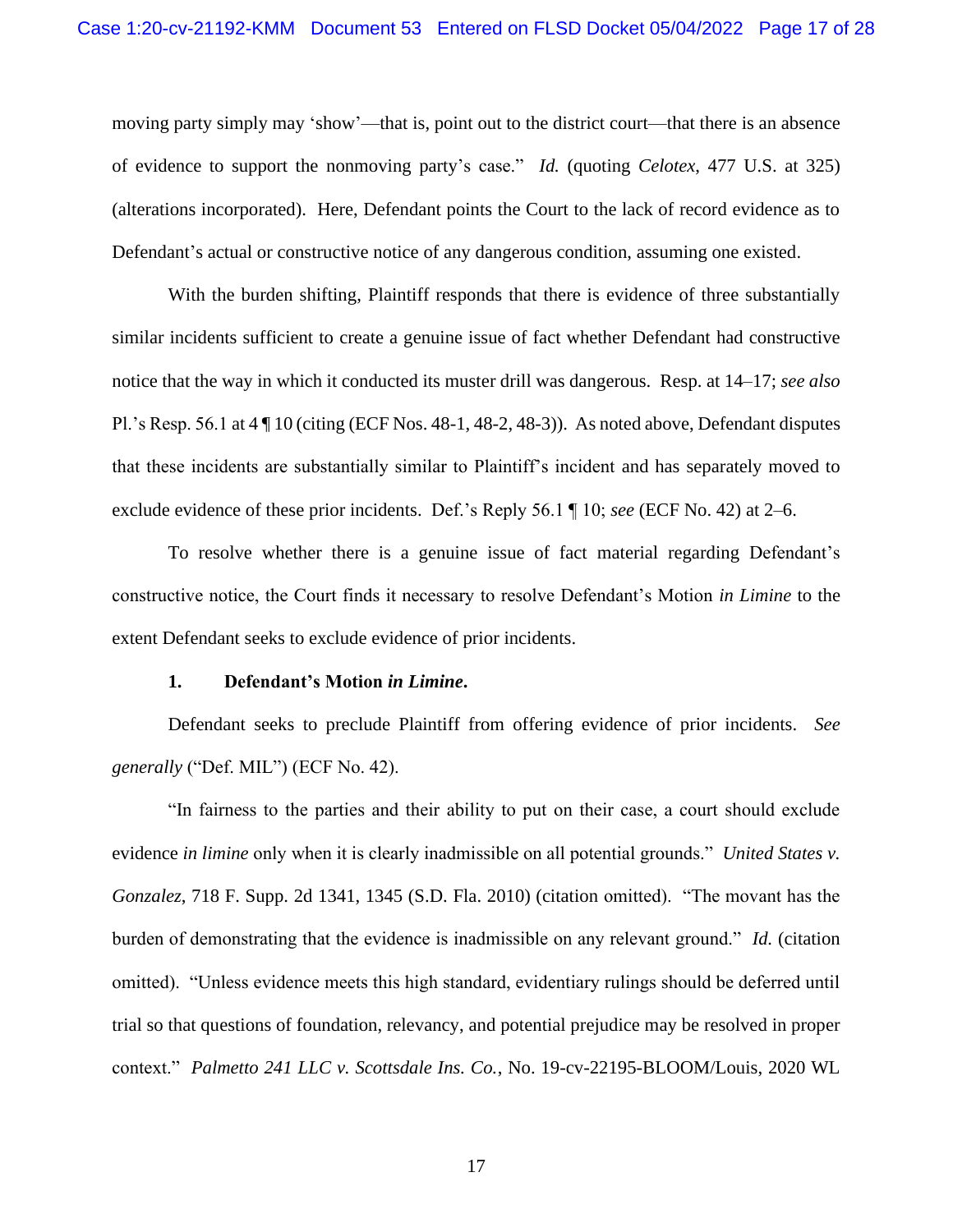moving party simply may 'show'—that is, point out to the district court—that there is an absence of evidence to support the nonmoving party's case." *Id.* (quoting *Celotex*, 477 U.S. at 325) (alterations incorporated). Here, Defendant points the Court to the lack of record evidence as to Defendant's actual or constructive notice of any dangerous condition, assuming one existed.

With the burden shifting, Plaintiff responds that there is evidence of three substantially similar incidents sufficient to create a genuine issue of fact whether Defendant had constructive notice that the way in which it conducted its muster drill was dangerous. Resp. at 14–17; *see also*  Pl.'s Resp. 56.1 at  $4 \sqrt{\frac{910}{cm}}$  (citing (ECF Nos. 48-1, 48-2, 48-3)). As noted above, Defendant disputes that these incidents are substantially similar to Plaintiff's incident and has separately moved to exclude evidence of these prior incidents. Def.'s Reply 56.1 ¶ 10; *see* (ECF No. 42) at 2–6.

To resolve whether there is a genuine issue of fact material regarding Defendant's constructive notice, the Court finds it necessary to resolve Defendant's Motion *in Limine* to the extent Defendant seeks to exclude evidence of prior incidents.

#### **1. Defendant's Motion** *in Limine***.**

Defendant seeks to preclude Plaintiff from offering evidence of prior incidents. *See generally* ("Def. MIL") (ECF No. 42).

"In fairness to the parties and their ability to put on their case, a court should exclude evidence *in limine* only when it is clearly inadmissible on all potential grounds." *United States v. Gonzalez*, 718 F. Supp. 2d 1341, 1345 (S.D. Fla. 2010) (citation omitted). "The movant has the burden of demonstrating that the evidence is inadmissible on any relevant ground." *Id.* (citation omitted). "Unless evidence meets this high standard, evidentiary rulings should be deferred until trial so that questions of foundation, relevancy, and potential prejudice may be resolved in proper context." *Palmetto 241 LLC v. Scottsdale Ins. Co.*, No. 19-cv-22195-BLOOM/Louis, 2020 WL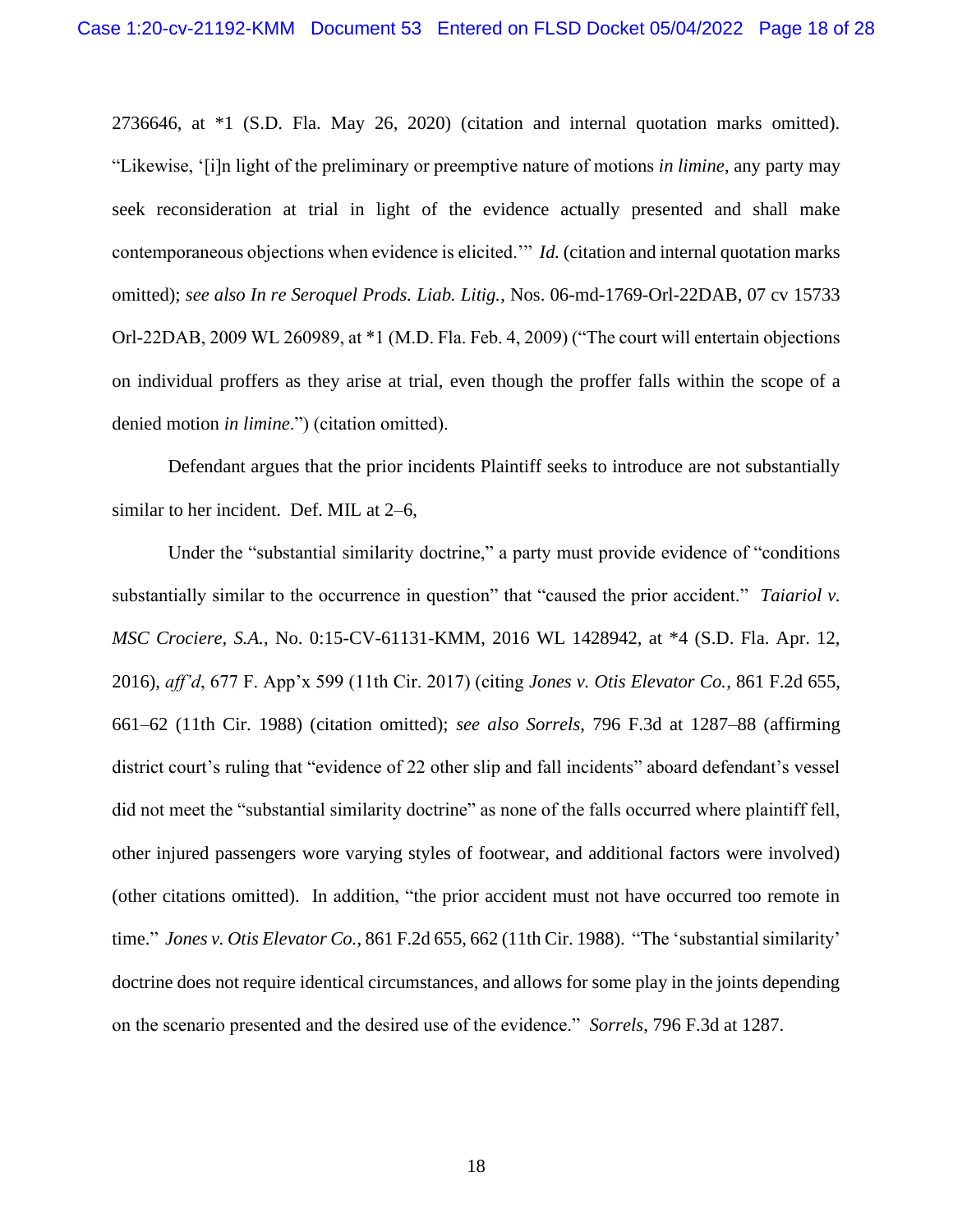2736646, at \*1 (S.D. Fla. May 26, 2020) (citation and internal quotation marks omitted). "Likewise, '[i]n light of the preliminary or preemptive nature of motions *in limine*, any party may seek reconsideration at trial in light of the evidence actually presented and shall make contemporaneous objections when evidence is elicited.'" *Id.* (citation and internal quotation marks omitted); *see also In re Seroquel Prods. Liab. Litig.*, Nos. 06-md-1769-Orl-22DAB, 07 cv 15733 Orl-22DAB, 2009 WL 260989, at \*1 (M.D. Fla. Feb. 4, 2009) ("The court will entertain objections on individual proffers as they arise at trial, even though the proffer falls within the scope of a denied motion *in limine*.") (citation omitted).

Defendant argues that the prior incidents Plaintiff seeks to introduce are not substantially similar to her incident. Def. MIL at 2–6,

Under the "substantial similarity doctrine," a party must provide evidence of "conditions substantially similar to the occurrence in question" that "caused the prior accident." *Taiariol v. MSC Crociere, S.A.*, No. 0:15-CV-61131-KMM, 2016 WL 1428942, at \*4 (S.D. Fla. Apr. 12, 2016), *aff'd*, 677 F. App'x 599 (11th Cir. 2017) (citing *Jones v. Otis Elevator Co.*, 861 F.2d 655, 661–62 (11th Cir. 1988) (citation omitted); *see also Sorrels*, 796 F.3d at 1287–88 (affirming district court's ruling that "evidence of 22 other slip and fall incidents" aboard defendant's vessel did not meet the "substantial similarity doctrine" as none of the falls occurred where plaintiff fell, other injured passengers wore varying styles of footwear, and additional factors were involved) (other citations omitted). In addition, "the prior accident must not have occurred too remote in time." *Jones v. Otis Elevator Co.*, 861 F.2d 655, 662 (11th Cir. 1988). "The 'substantial similarity' doctrine does not require identical circumstances, and allows for some play in the joints depending on the scenario presented and the desired use of the evidence." *Sorrels*, 796 F.3d at 1287.

18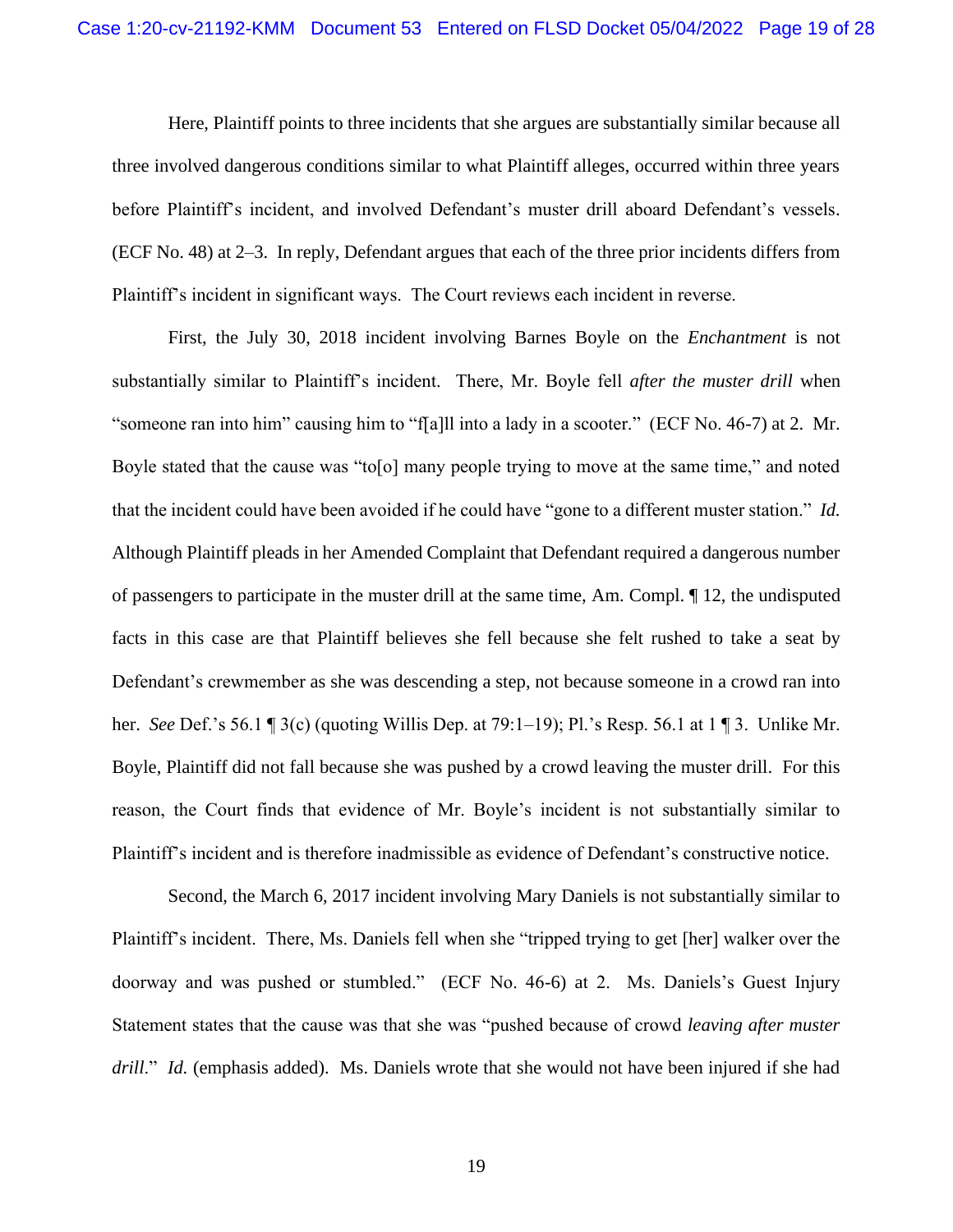Here, Plaintiff points to three incidents that she argues are substantially similar because all three involved dangerous conditions similar to what Plaintiff alleges, occurred within three years before Plaintiff's incident, and involved Defendant's muster drill aboard Defendant's vessels. (ECF No. 48) at 2–3. In reply, Defendant argues that each of the three prior incidents differs from Plaintiff's incident in significant ways. The Court reviews each incident in reverse.

First, the July 30, 2018 incident involving Barnes Boyle on the *Enchantment* is not substantially similar to Plaintiff's incident. There, Mr. Boyle fell *after the muster drill* when "someone ran into him" causing him to "f[a]ll into a lady in a scooter." (ECF No. 46-7) at 2. Mr. Boyle stated that the cause was "to<sup>[o]</sup> many people trying to move at the same time," and noted that the incident could have been avoided if he could have "gone to a different muster station." *Id.* Although Plaintiff pleads in her Amended Complaint that Defendant required a dangerous number of passengers to participate in the muster drill at the same time, Am. Compl. ¶ 12, the undisputed facts in this case are that Plaintiff believes she fell because she felt rushed to take a seat by Defendant's crewmember as she was descending a step, not because someone in a crowd ran into her. *See* Def.'s 56.1 ¶ 3(c) (quoting Willis Dep. at 79:1–19); Pl.'s Resp. 56.1 at 1 ¶ 3. Unlike Mr. Boyle, Plaintiff did not fall because she was pushed by a crowd leaving the muster drill. For this reason, the Court finds that evidence of Mr. Boyle's incident is not substantially similar to Plaintiff's incident and is therefore inadmissible as evidence of Defendant's constructive notice.

Second, the March 6, 2017 incident involving Mary Daniels is not substantially similar to Plaintiff's incident. There, Ms. Daniels fell when she "tripped trying to get [her] walker over the doorway and was pushed or stumbled." (ECF No. 46-6) at 2. Ms. Daniels's Guest Injury Statement states that the cause was that she was "pushed because of crowd *leaving after muster drill.*" *Id.* (emphasis added). Ms. Daniels wrote that she would not have been injured if she had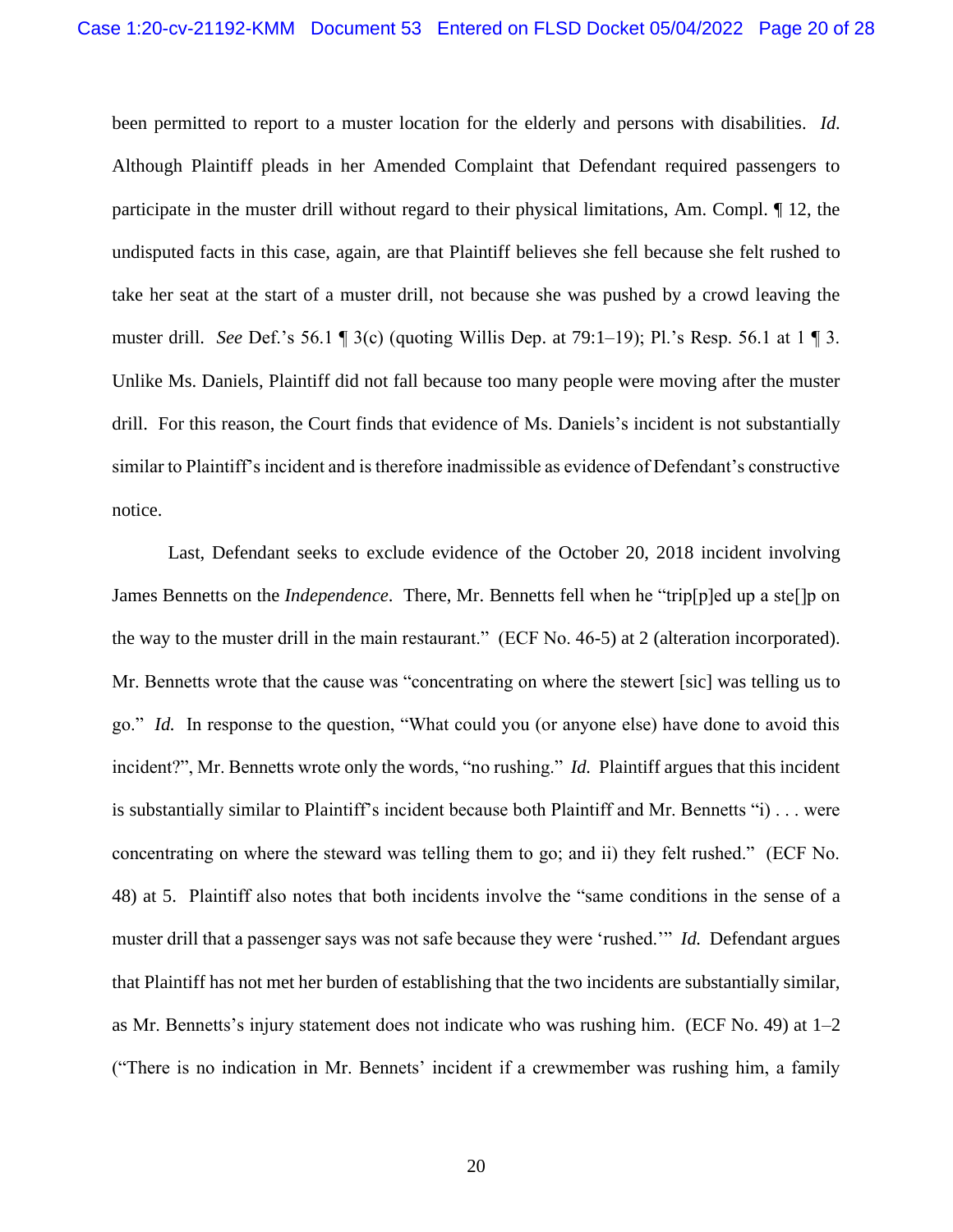been permitted to report to a muster location for the elderly and persons with disabilities. *Id.*  Although Plaintiff pleads in her Amended Complaint that Defendant required passengers to participate in the muster drill without regard to their physical limitations, Am. Compl. ¶ 12, the undisputed facts in this case, again, are that Plaintiff believes she fell because she felt rushed to take her seat at the start of a muster drill, not because she was pushed by a crowd leaving the muster drill. *See* Def.'s 56.1 ¶ 3(c) (quoting Willis Dep. at 79:1–19); Pl.'s Resp. 56.1 at 1 ¶ 3. Unlike Ms. Daniels, Plaintiff did not fall because too many people were moving after the muster drill. For this reason, the Court finds that evidence of Ms. Daniels's incident is not substantially similar to Plaintiff's incident and is therefore inadmissible as evidence of Defendant's constructive notice.

Last, Defendant seeks to exclude evidence of the October 20, 2018 incident involving James Bennetts on the *Independence*. There, Mr. Bennetts fell when he "trip[p]ed up a ste[]p on the way to the muster drill in the main restaurant." (ECF No. 46-5) at 2 (alteration incorporated). Mr. Bennetts wrote that the cause was "concentrating on where the stewert [sic] was telling us to go." *Id.* In response to the question, "What could you (or anyone else) have done to avoid this incident?", Mr. Bennetts wrote only the words, "no rushing." *Id.* Plaintiff argues that this incident is substantially similar to Plaintiff's incident because both Plaintiff and Mr. Bennetts "i) . . . were concentrating on where the steward was telling them to go; and ii) they felt rushed." (ECF No. 48) at 5. Plaintiff also notes that both incidents involve the "same conditions in the sense of a muster drill that a passenger says was not safe because they were 'rushed.'" *Id.* Defendant argues that Plaintiff has not met her burden of establishing that the two incidents are substantially similar, as Mr. Bennetts's injury statement does not indicate who was rushing him. (ECF No. 49) at 1–2 ("There is no indication in Mr. Bennets' incident if a crewmember was rushing him, a family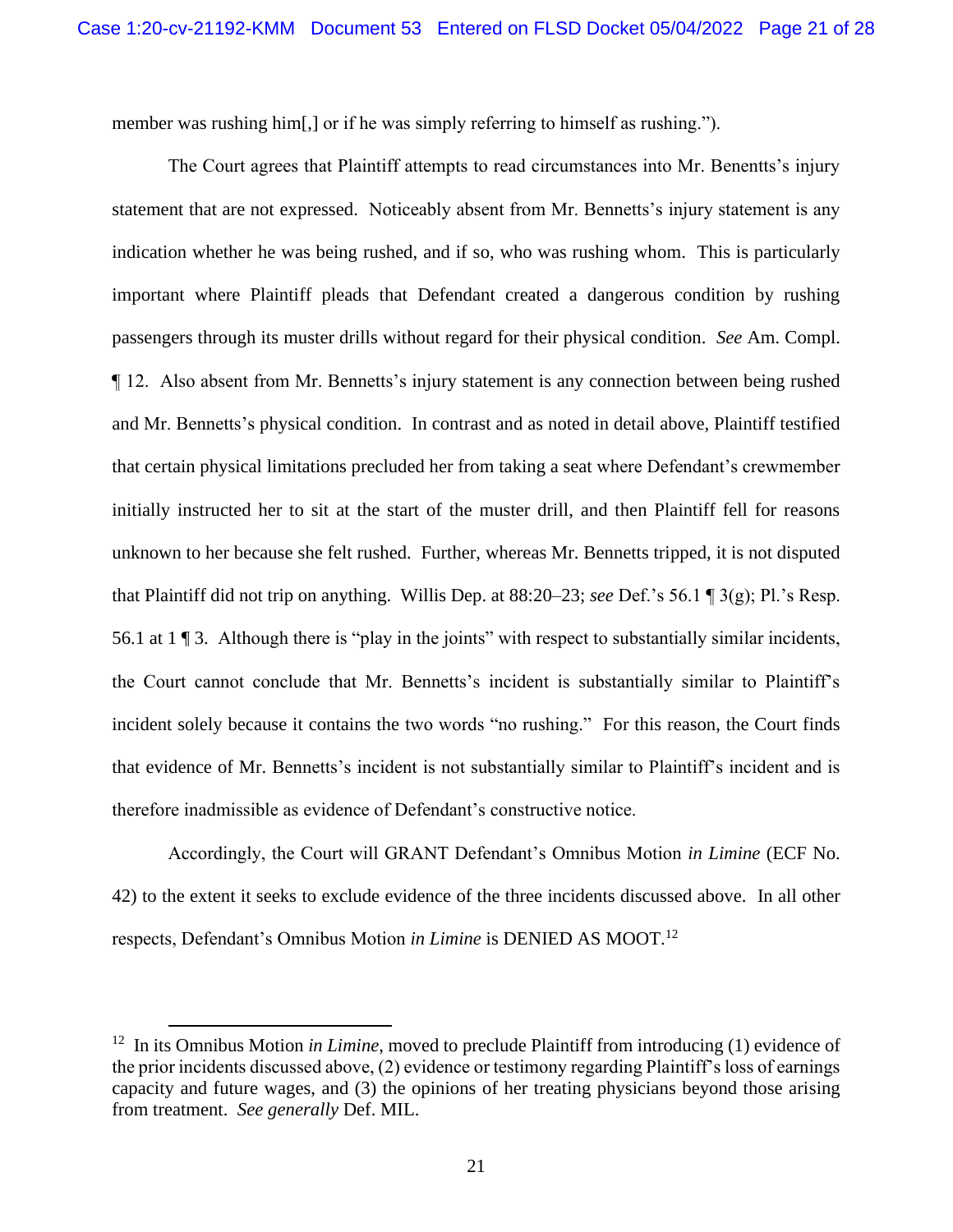member was rushing him[,] or if he was simply referring to himself as rushing.").

The Court agrees that Plaintiff attempts to read circumstances into Mr. Benentts's injury statement that are not expressed. Noticeably absent from Mr. Bennetts's injury statement is any indication whether he was being rushed, and if so, who was rushing whom. This is particularly important where Plaintiff pleads that Defendant created a dangerous condition by rushing passengers through its muster drills without regard for their physical condition. *See* Am. Compl. ¶ 12. Also absent from Mr. Bennetts's injury statement is any connection between being rushed and Mr. Bennetts's physical condition. In contrast and as noted in detail above, Plaintiff testified that certain physical limitations precluded her from taking a seat where Defendant's crewmember initially instructed her to sit at the start of the muster drill, and then Plaintiff fell for reasons unknown to her because she felt rushed. Further, whereas Mr. Bennetts tripped, it is not disputed that Plaintiff did not trip on anything. Willis Dep. at 88:20–23; *see* Def.'s 56.1 ¶ 3(g); Pl.'s Resp. 56.1 at 1 ¶ 3. Although there is "play in the joints" with respect to substantially similar incidents, the Court cannot conclude that Mr. Bennetts's incident is substantially similar to Plaintiff's incident solely because it contains the two words "no rushing." For this reason, the Court finds that evidence of Mr. Bennetts's incident is not substantially similar to Plaintiff's incident and is therefore inadmissible as evidence of Defendant's constructive notice.

Accordingly, the Court will GRANT Defendant's Omnibus Motion *in Limine* (ECF No. 42) to the extent it seeks to exclude evidence of the three incidents discussed above. In all other respects, Defendant's Omnibus Motion *in Limine* is DENIED AS MOOT.<sup>12</sup>

<sup>&</sup>lt;sup>12</sup> In its Omnibus Motion *in Limine*, moved to preclude Plaintiff from introducing (1) evidence of the prior incidents discussed above, (2) evidence or testimony regarding Plaintiff's loss of earnings capacity and future wages, and (3) the opinions of her treating physicians beyond those arising from treatment. *See generally* Def. MIL.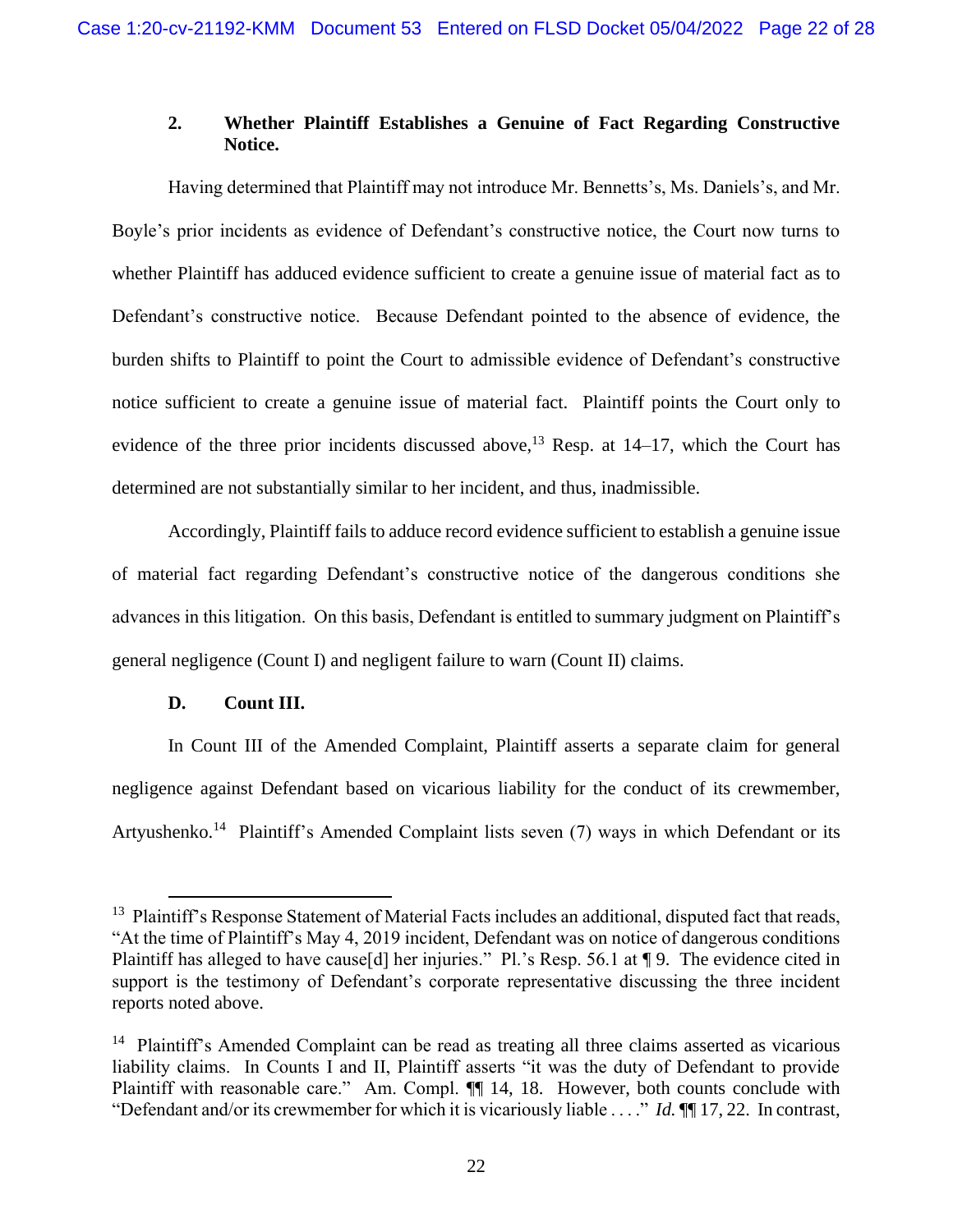# **2. Whether Plaintiff Establishes a Genuine of Fact Regarding Constructive Notice.**

Having determined that Plaintiff may not introduce Mr. Bennetts's, Ms. Daniels's, and Mr. Boyle's prior incidents as evidence of Defendant's constructive notice, the Court now turns to whether Plaintiff has adduced evidence sufficient to create a genuine issue of material fact as to Defendant's constructive notice. Because Defendant pointed to the absence of evidence, the burden shifts to Plaintiff to point the Court to admissible evidence of Defendant's constructive notice sufficient to create a genuine issue of material fact. Plaintiff points the Court only to evidence of the three prior incidents discussed above,<sup>13</sup> Resp. at 14–17, which the Court has determined are not substantially similar to her incident, and thus, inadmissible.

Accordingly, Plaintiff fails to adduce record evidence sufficient to establish a genuine issue of material fact regarding Defendant's constructive notice of the dangerous conditions she advances in this litigation. On this basis, Defendant is entitled to summary judgment on Plaintiff's general negligence (Count I) and negligent failure to warn (Count II) claims.

## **D. Count III.**

In Count III of the Amended Complaint, Plaintiff asserts a separate claim for general negligence against Defendant based on vicarious liability for the conduct of its crewmember, Artyushenko.<sup>14</sup> Plaintiff's Amended Complaint lists seven (7) ways in which Defendant or its

<sup>&</sup>lt;sup>13</sup> Plaintiff's Response Statement of Material Facts includes an additional, disputed fact that reads, "At the time of Plaintiff's May 4, 2019 incident, Defendant was on notice of dangerous conditions Plaintiff has alleged to have cause[d] her injuries." Pl.'s Resp. 56.1 at ¶ 9. The evidence cited in support is the testimony of Defendant's corporate representative discussing the three incident reports noted above.

<sup>&</sup>lt;sup>14</sup> Plaintiff's Amended Complaint can be read as treating all three claims asserted as vicarious liability claims. In Counts I and II, Plaintiff asserts "it was the duty of Defendant to provide Plaintiff with reasonable care." Am. Compl.  $\P$  14, 18. However, both counts conclude with "Defendant and/or its crewmember for which it is vicariously liable . . . ." *Id.* ¶¶ 17, 22. In contrast,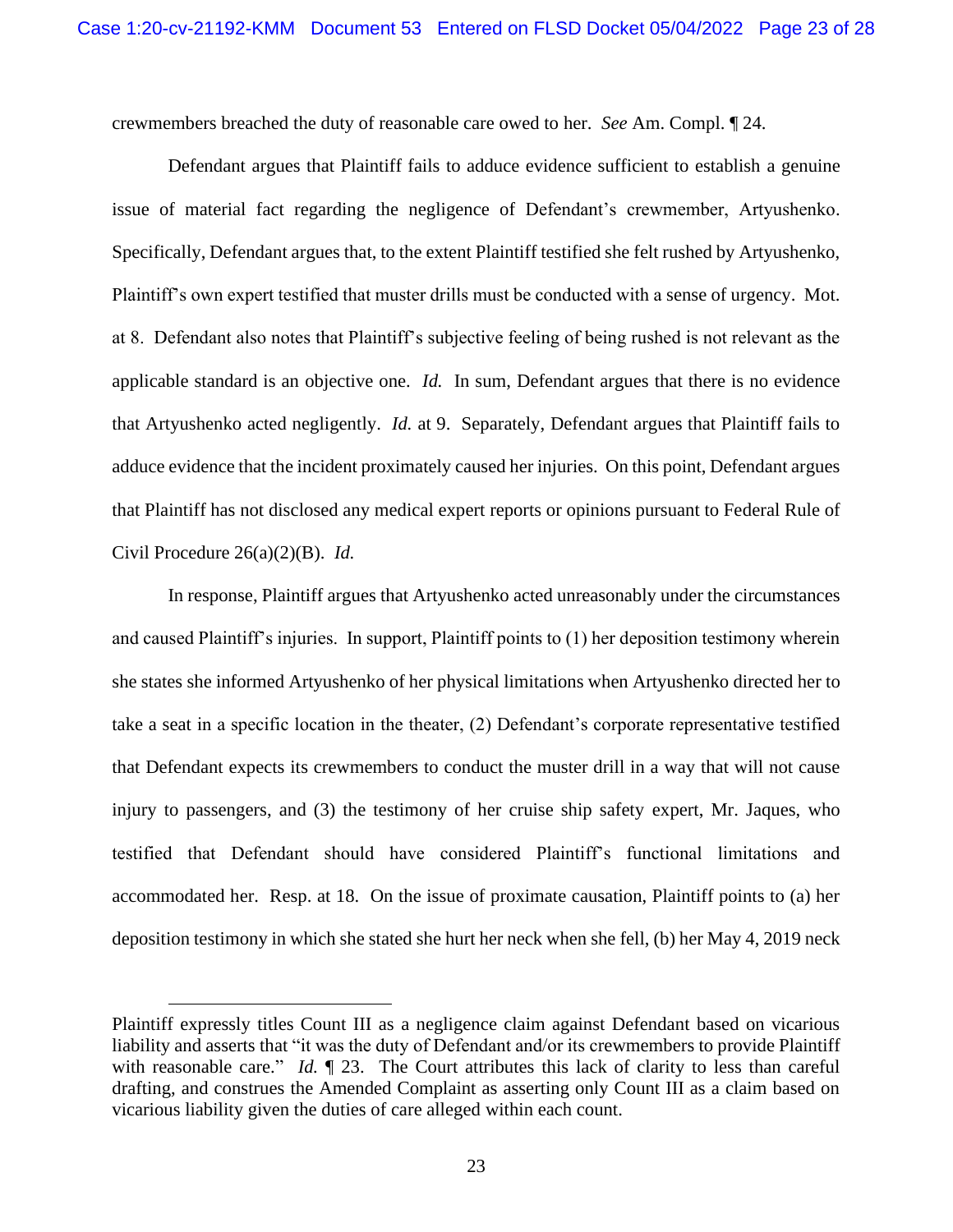crewmembers breached the duty of reasonable care owed to her. *See* Am. Compl. ¶ 24.

Defendant argues that Plaintiff fails to adduce evidence sufficient to establish a genuine issue of material fact regarding the negligence of Defendant's crewmember, Artyushenko. Specifically, Defendant argues that, to the extent Plaintiff testified she felt rushed by Artyushenko, Plaintiff's own expert testified that muster drills must be conducted with a sense of urgency. Mot. at 8. Defendant also notes that Plaintiff's subjective feeling of being rushed is not relevant as the applicable standard is an objective one. *Id.* In sum, Defendant argues that there is no evidence that Artyushenko acted negligently. *Id.* at 9. Separately, Defendant argues that Plaintiff fails to adduce evidence that the incident proximately caused her injuries. On this point, Defendant argues that Plaintiff has not disclosed any medical expert reports or opinions pursuant to Federal Rule of Civil Procedure 26(a)(2)(B). *Id.* 

In response, Plaintiff argues that Artyushenko acted unreasonably under the circumstances and caused Plaintiff's injuries. In support, Plaintiff points to (1) her deposition testimony wherein she states she informed Artyushenko of her physical limitations when Artyushenko directed her to take a seat in a specific location in the theater, (2) Defendant's corporate representative testified that Defendant expects its crewmembers to conduct the muster drill in a way that will not cause injury to passengers, and (3) the testimony of her cruise ship safety expert, Mr. Jaques, who testified that Defendant should have considered Plaintiff's functional limitations and accommodated her. Resp. at 18. On the issue of proximate causation, Plaintiff points to (a) her deposition testimony in which she stated she hurt her neck when she fell, (b) her May 4, 2019 neck

Plaintiff expressly titles Count III as a negligence claim against Defendant based on vicarious liability and asserts that "it was the duty of Defendant and/or its crewmembers to provide Plaintiff with reasonable care." *Id.*  $\llbracket 23$ . The Court attributes this lack of clarity to less than careful drafting, and construes the Amended Complaint as asserting only Count III as a claim based on vicarious liability given the duties of care alleged within each count.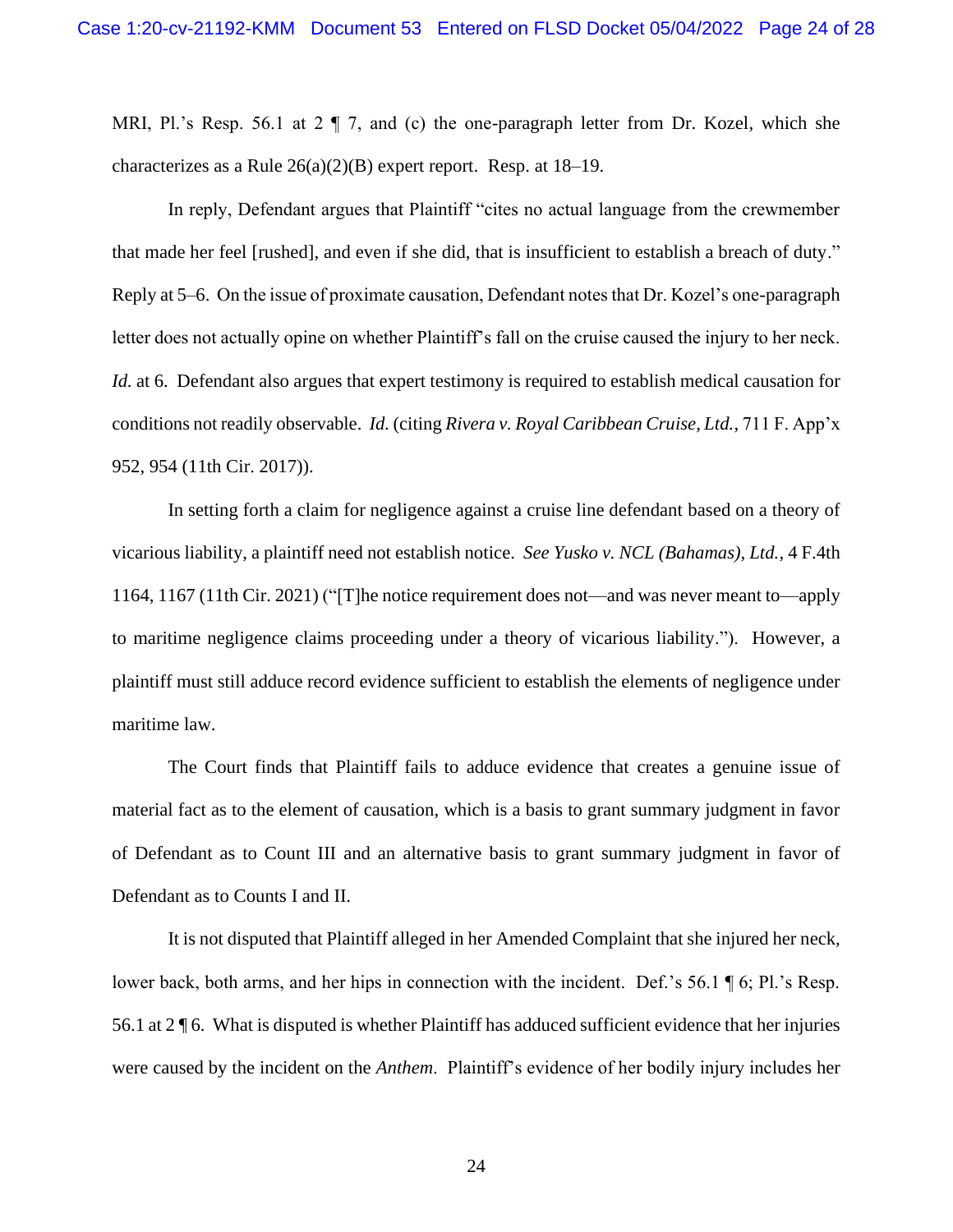MRI, Pl.'s Resp. 56.1 at 2  $\parallel$  7, and (c) the one-paragraph letter from Dr. Kozel, which she characterizes as a Rule  $26(a)(2)(B)$  expert report. Resp. at 18–19.

In reply, Defendant argues that Plaintiff "cites no actual language from the crewmember that made her feel [rushed], and even if she did, that is insufficient to establish a breach of duty." Reply at 5–6. On the issue of proximate causation, Defendant notes that Dr. Kozel's one-paragraph letter does not actually opine on whether Plaintiff's fall on the cruise caused the injury to her neck. *Id.* at 6. Defendant also argues that expert testimony is required to establish medical causation for conditions not readily observable. *Id.* (citing *Rivera v. Royal Caribbean Cruise, Ltd.*, 711 F. App'x 952, 954 (11th Cir. 2017)).

In setting forth a claim for negligence against a cruise line defendant based on a theory of vicarious liability, a plaintiff need not establish notice. *See Yusko v. NCL (Bahamas), Ltd.*, 4 F.4th 1164, 1167 (11th Cir. 2021) ("[T]he notice requirement does not—and was never meant to—apply to maritime negligence claims proceeding under a theory of vicarious liability."). However, a plaintiff must still adduce record evidence sufficient to establish the elements of negligence under maritime law.

The Court finds that Plaintiff fails to adduce evidence that creates a genuine issue of material fact as to the element of causation, which is a basis to grant summary judgment in favor of Defendant as to Count III and an alternative basis to grant summary judgment in favor of Defendant as to Counts I and II.

It is not disputed that Plaintiff alleged in her Amended Complaint that she injured her neck, lower back, both arms, and her hips in connection with the incident. Def.'s 56.1 ¶ 6; Pl.'s Resp. 56.1 at 2 ¶ 6. What is disputed is whether Plaintiff has adduced sufficient evidence that her injuries were caused by the incident on the *Anthem*. Plaintiff's evidence of her bodily injury includes her

24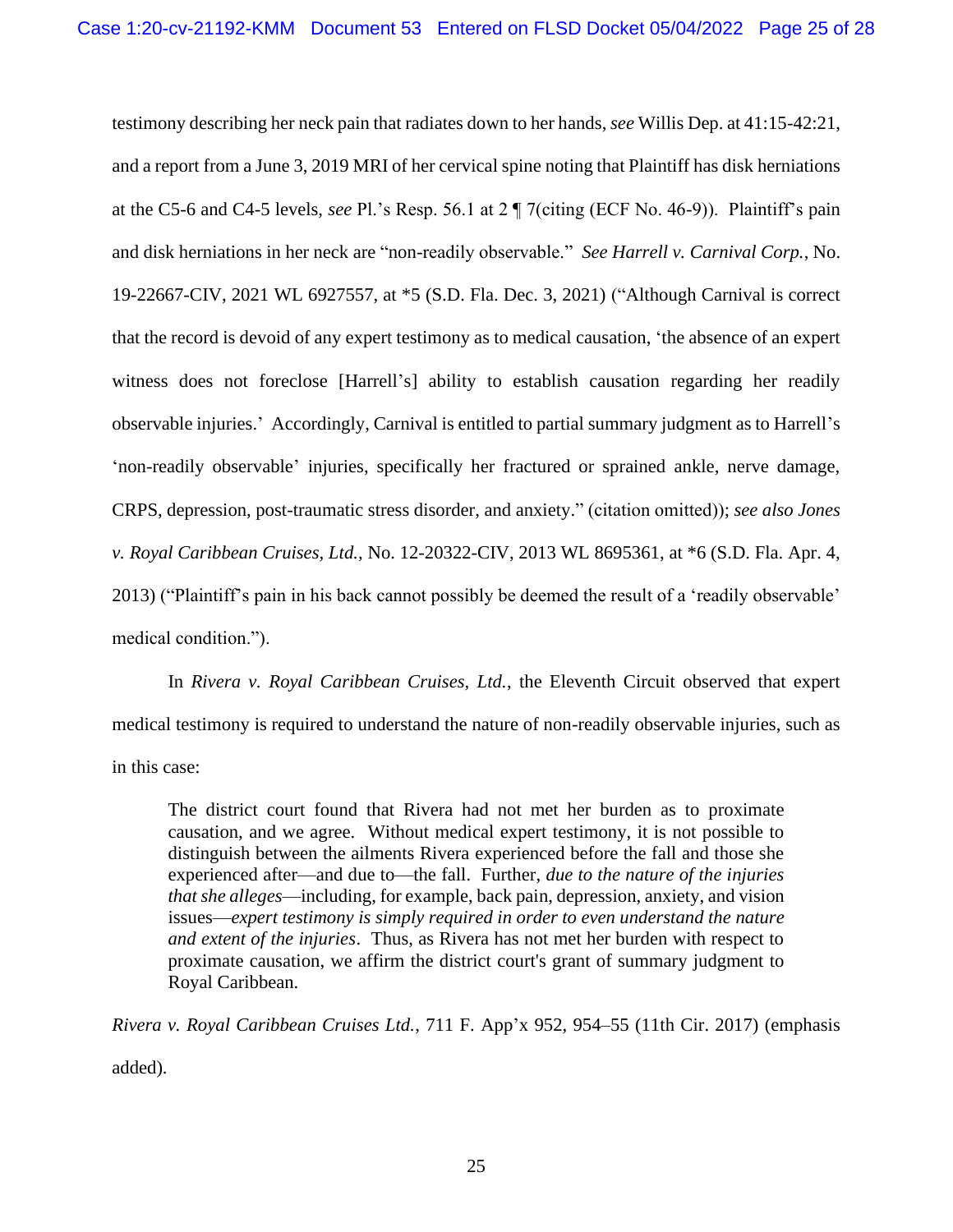testimony describing her neck pain that radiates down to her hands, *see* Willis Dep. at 41:15-42:21, and a report from a June 3, 2019 MRI of her cervical spine noting that Plaintiff has disk herniations at the C5-6 and C4-5 levels, *see* Pl.'s Resp. 56.1 at 2 ¶ 7(citing (ECF No. 46-9)). Plaintiff's pain and disk herniations in her neck are "non-readily observable." *See Harrell v. Carnival Corp.*, No. 19-22667-CIV, 2021 WL 6927557, at \*5 (S.D. Fla. Dec. 3, 2021) ("Although Carnival is correct that the record is devoid of any expert testimony as to medical causation, 'the absence of an expert witness does not foreclose [Harrell's] ability to establish causation regarding her readily observable injuries.' Accordingly, Carnival is entitled to partial summary judgment as to Harrell's 'non-readily observable' injuries, specifically her fractured or sprained ankle, nerve damage, CRPS, depression, post-traumatic stress disorder, and anxiety." (citation omitted)); *see also Jones v. Royal Caribbean Cruises, Ltd.*, No. 12-20322-CIV, 2013 WL 8695361, at \*6 (S.D. Fla. Apr. 4, 2013) ("Plaintiff's pain in his back cannot possibly be deemed the result of a 'readily observable' medical condition.").

In *Rivera v. Royal Caribbean Cruises, Ltd.*, the Eleventh Circuit observed that expert medical testimony is required to understand the nature of non-readily observable injuries, such as in this case:

The district court found that Rivera had not met her burden as to proximate causation, and we agree. Without medical expert testimony, it is not possible to distinguish between the ailments Rivera experienced before the fall and those she experienced after—and due to—the fall. Further, *due to the nature of the injuries that she alleges*—including, for example, back pain, depression, anxiety, and vision issues—*expert testimony is simply required in order to even understand the nature and extent of the injuries*. Thus, as Rivera has not met her burden with respect to proximate causation, we affirm the district court's grant of summary judgment to Royal Caribbean.

*Rivera v. Royal Caribbean Cruises Ltd.*, 711 F. App'x 952, 954–55 (11th Cir. 2017) (emphasis added).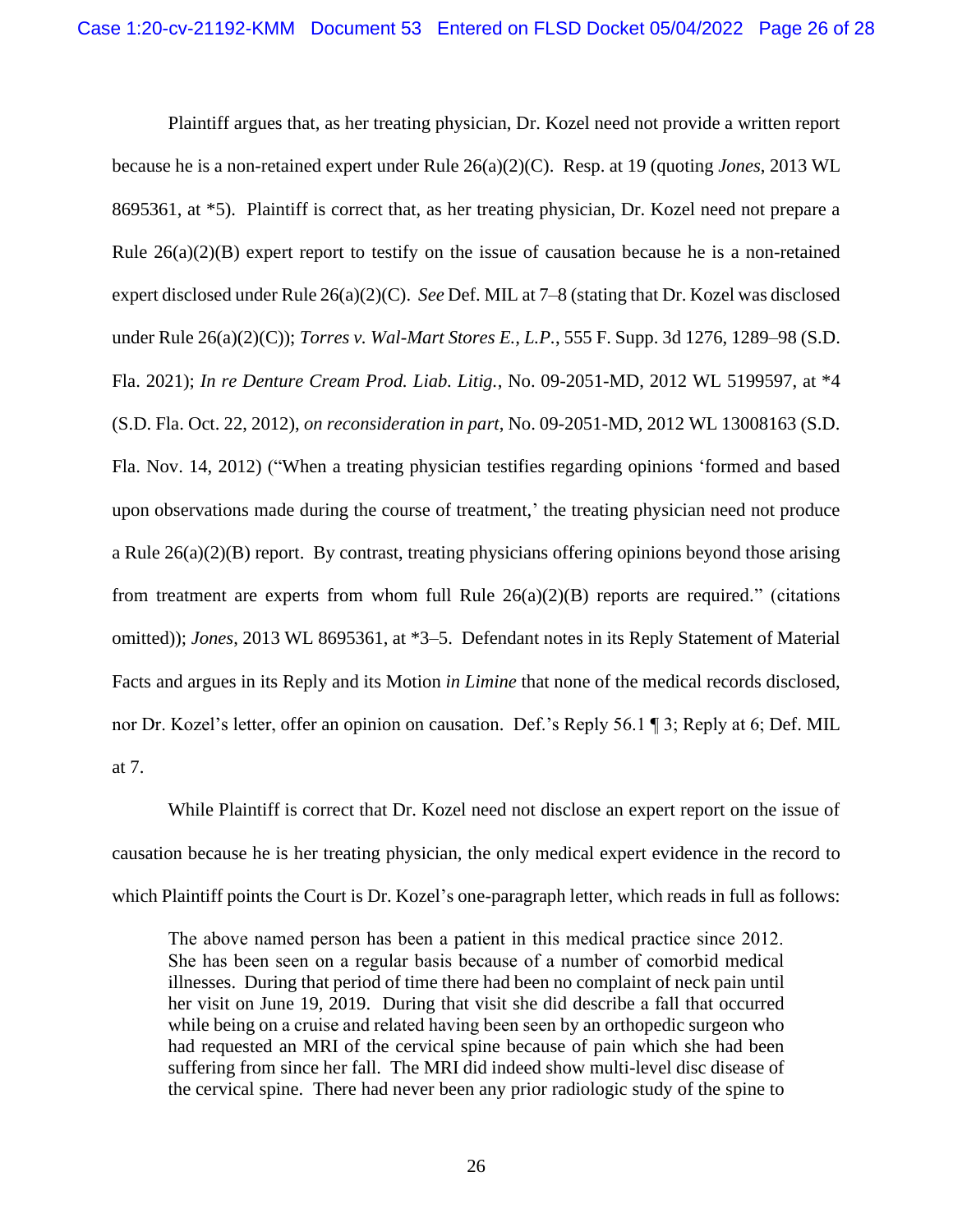Plaintiff argues that, as her treating physician, Dr. Kozel need not provide a written report because he is a non-retained expert under Rule 26(a)(2)(C). Resp. at 19 (quoting *Jones*, 2013 WL 8695361, at \*5). Plaintiff is correct that, as her treating physician, Dr. Kozel need not prepare a Rule  $26(a)(2)(B)$  expert report to testify on the issue of causation because he is a non-retained expert disclosed under Rule 26(a)(2)(C). *See* Def. MIL at 7–8 (stating that Dr. Kozel was disclosed under Rule 26(a)(2)(C)); *Torres v. Wal-Mart Stores E., L.P.*, 555 F. Supp. 3d 1276, 1289–98 (S.D. Fla. 2021); *In re Denture Cream Prod. Liab. Litig.*, No. 09-2051-MD, 2012 WL 5199597, at \*4 (S.D. Fla. Oct. 22, 2012), *on reconsideration in part*, No. 09-2051-MD, 2012 WL 13008163 (S.D. Fla. Nov. 14, 2012) ("When a treating physician testifies regarding opinions 'formed and based upon observations made during the course of treatment,' the treating physician need not produce a Rule 26(a)(2)(B) report. By contrast, treating physicians offering opinions beyond those arising from treatment are experts from whom full Rule  $26(a)(2)(B)$  reports are required." (citations omitted)); *Jones*, 2013 WL 8695361, at \*3–5. Defendant notes in its Reply Statement of Material Facts and argues in its Reply and its Motion *in Limine* that none of the medical records disclosed, nor Dr. Kozel's letter, offer an opinion on causation. Def.'s Reply 56.1 ¶ 3; Reply at 6; Def. MIL at 7.

While Plaintiff is correct that Dr. Kozel need not disclose an expert report on the issue of causation because he is her treating physician, the only medical expert evidence in the record to which Plaintiff points the Court is Dr. Kozel's one-paragraph letter, which reads in full as follows:

The above named person has been a patient in this medical practice since 2012. She has been seen on а regular basis because of а number of comorbid medical illnesses. During that period of time there had been no complaint of neck pain until her visit on June 19, 2019. During that visit she did describe а fall that occurred while being on a cruise and related having been seen by an orthopedic surgeon who had requested an MRI of the cervical spine because of pain which she had been suffering from since her fall. The MRI did indeed show multi-level disc disease of the cervical spine. There had never been any prior radiologic study of the spine to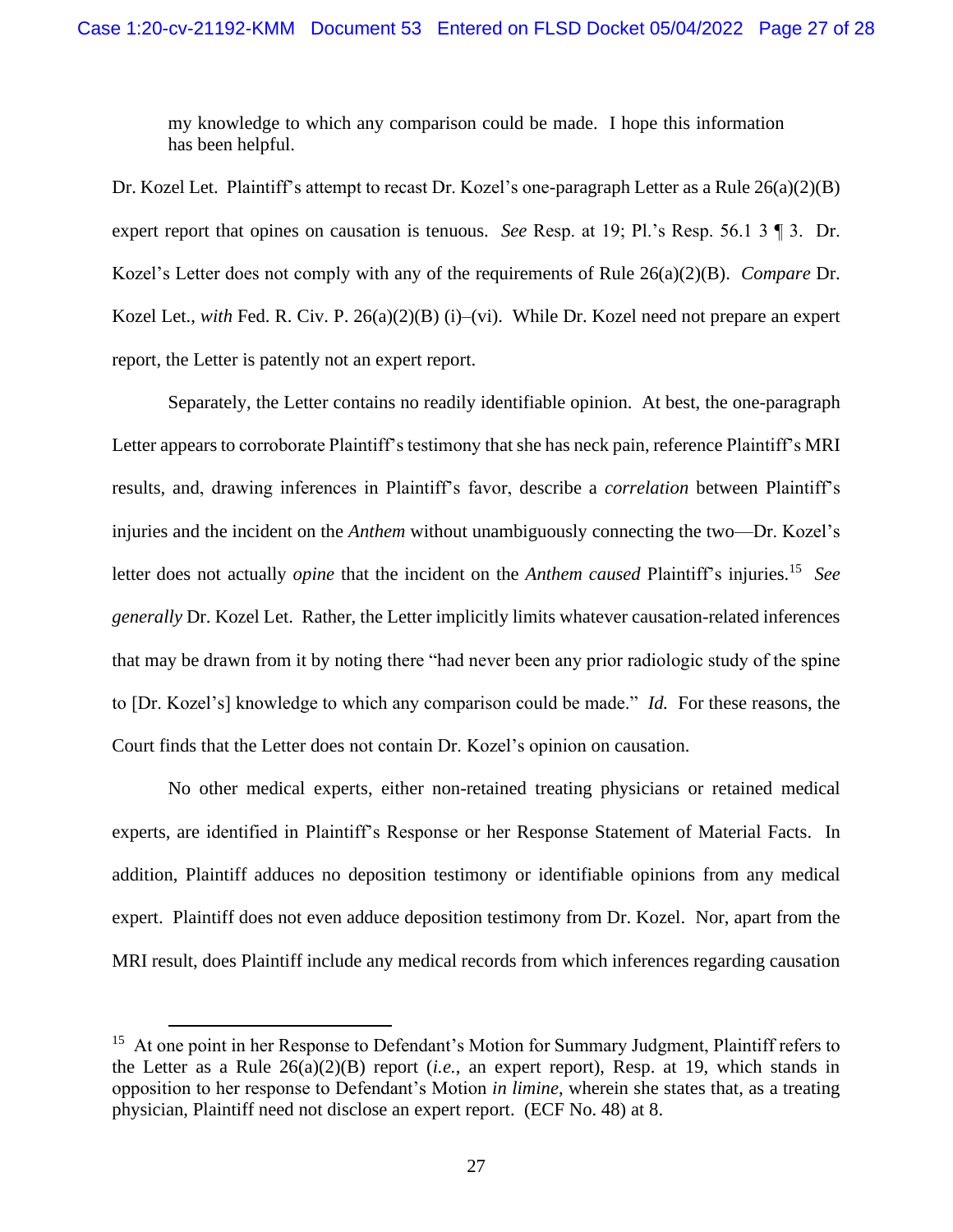my knowledge to which any comparison could be made. I hope this information has been helpful.

Dr. Kozel Let. Plaintiff's attempt to recast Dr. Kozel's one-paragraph Letter as a Rule 26(a)(2)(B) expert report that opines on causation is tenuous. *See* Resp. at 19; Pl.'s Resp. 56.1 3 ¶ 3. Dr. Kozel's Letter does not comply with any of the requirements of Rule 26(a)(2)(B). *Compare* Dr. Kozel Let., *with* Fed. R. Civ. P. 26(a)(2)(B) (i)–(vi). While Dr. Kozel need not prepare an expert report, the Letter is patently not an expert report.

Separately, the Letter contains no readily identifiable opinion. At best, the one-paragraph Letter appears to corroborate Plaintiff's testimony that she has neck pain, reference Plaintiff's MRI results, and, drawing inferences in Plaintiff's favor, describe a *correlation* between Plaintiff's injuries and the incident on the *Anthem* without unambiguously connecting the two—Dr. Kozel's letter does not actually *opine* that the incident on the *Anthem caused* Plaintiff's injuries.<sup>15</sup> *See generally* Dr. Kozel Let. Rather, the Letter implicitly limits whatever causation-related inferences that may be drawn from it by noting there "had never been any prior radiologic study of the spine to [Dr. Kozel's] knowledge to which any comparison could be made." *Id.* For these reasons, the Court finds that the Letter does not contain Dr. Kozel's opinion on causation.

No other medical experts, either non-retained treating physicians or retained medical experts, are identified in Plaintiff's Response or her Response Statement of Material Facts. In addition, Plaintiff adduces no deposition testimony or identifiable opinions from any medical expert. Plaintiff does not even adduce deposition testimony from Dr. Kozel. Nor, apart from the MRI result, does Plaintiff include any medical records from which inferences regarding causation

<sup>&</sup>lt;sup>15</sup> At one point in her Response to Defendant's Motion for Summary Judgment, Plaintiff refers to the Letter as a Rule 26(a)(2)(B) report (*i.e.*, an expert report), Resp. at 19, which stands in opposition to her response to Defendant's Motion *in limine*, wherein she states that, as a treating physician, Plaintiff need not disclose an expert report. (ECF No. 48) at 8.